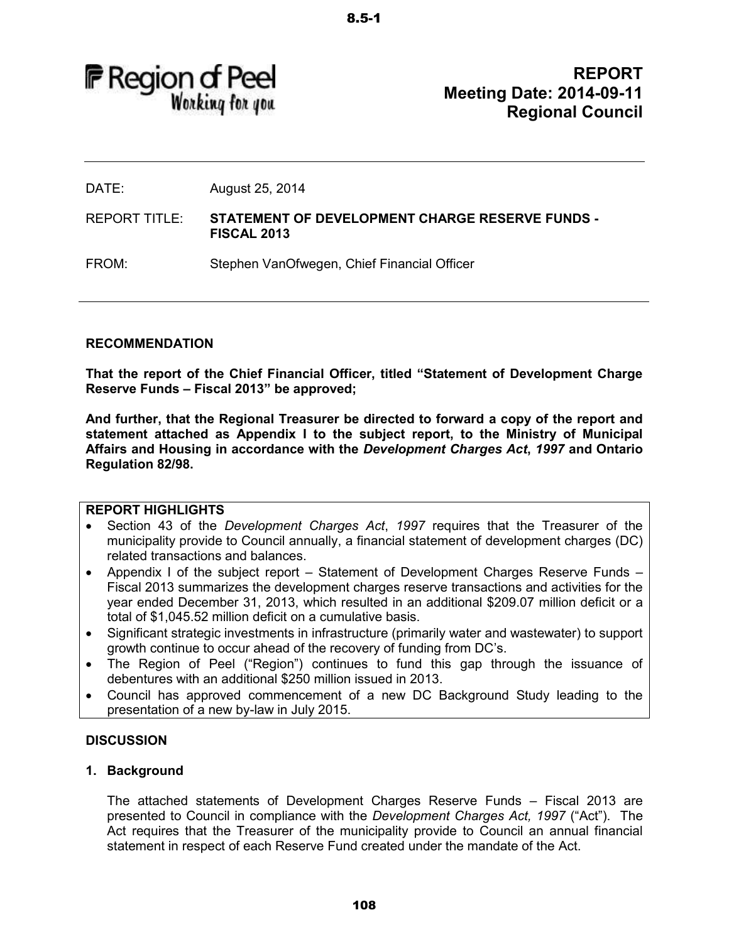**F** Region of Peel Working for you

**REPORT Meeting Date: 2014-09-11 Regional Council** 

DATE: August 25, 2014

REPORT TITLE: **STATEMENT OF DEVELOPMENT CHARGE RESERVE FUNDS - FISCAL 2013** 

FROM: Stephen VanOfwegen, Chief Financial Officer

### **RECOMMENDATION**

**That the report of the Chief Financial Officer, titled "Statement of Development Charge Reserve Funds – Fiscal 2013" be approved;**

**And further, that the Regional Treasurer be directed to forward a copy of the report and statement attached as Appendix I to the subject report, to the Ministry of Municipal Affairs and Housing in accordance with the** *Development Charges Act***,** *1997* **and Ontario Regulation 82/98.** 

### **REPORT HIGHLIGHTS**

- Section 43 of the *Development Charges Act*, *1997* requires that the Treasurer of the municipality provide to Council annually, a financial statement of development charges (DC) related transactions and balances.
- Appendix I of the subject report Statement of Development Charges Reserve Funds Fiscal 2013 summarizes the development charges reserve transactions and activities for the year ended December 31, 2013, which resulted in an additional \$209.07 million deficit or a total of \$1,045.52 million deficit on a cumulative basis.
- Significant strategic investments in infrastructure (primarily water and wastewater) to support growth continue to occur ahead of the recovery of funding from DC's.
- The Region of Peel ("Region") continues to fund this gap through the issuance of debentures with an additional \$250 million issued in 2013.
- Council has approved commencement of a new DC Background Study leading to the presentation of a new by-law in July 2015.

### **DISCUSSION**

### **1. Background**

The attached statements of Development Charges Reserve Funds – Fiscal 2013 are presented to Council in compliance with the *Development Charges Act, 1997* ("Act"). The Act requires that the Treasurer of the municipality provide to Council an annual financial statement in respect of each Reserve Fund created under the mandate of the Act.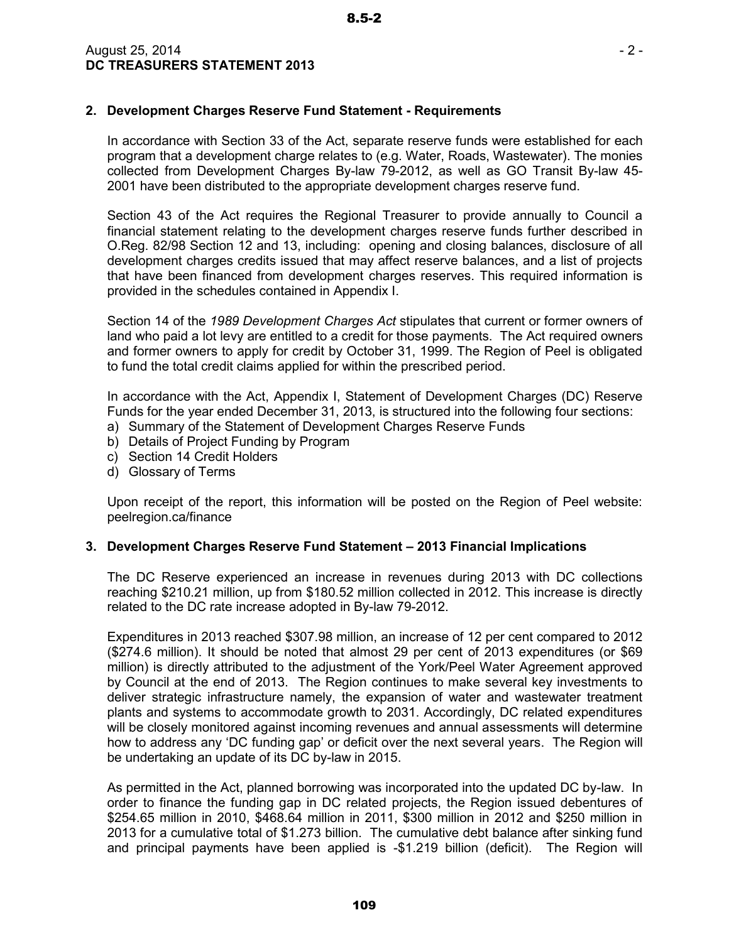## **2. Development Charges Reserve Fund Statement - Requirements**

In accordance with Section 33 of the Act, separate reserve funds were established for each program that a development charge relates to (e.g. Water, Roads, Wastewater). The monies collected from Development Charges By-law 79-2012, as well as GO Transit By-law 45- 2001 have been distributed to the appropriate development charges reserve fund.

Section 43 of the Act requires the Regional Treasurer to provide annually to Council a financial statement relating to the development charges reserve funds further described in O.Reg. 82/98 Section 12 and 13, including: opening and closing balances, disclosure of all development charges credits issued that may affect reserve balances, and a list of projects that have been financed from development charges reserves. This required information is provided in the schedules contained in Appendix I.

Section 14 of the *1989 Development Charges Act* stipulates that current or former owners of land who paid a lot levy are entitled to a credit for those payments. The Act required owners and former owners to apply for credit by October 31, 1999. The Region of Peel is obligated to fund the total credit claims applied for within the prescribed period.

In accordance with the Act, Appendix I, Statement of Development Charges (DC) Reserve Funds for the year ended December 31, 2013, is structured into the following four sections:

- a) Summary of the Statement of Development Charges Reserve Funds
- b) Details of Project Funding by Program
- c) Section 14 Credit Holders
- d) Glossary of Terms

Upon receipt of the report, this information will be posted on the Region of Peel website: peelregion.ca/finance

### **3. Development Charges Reserve Fund Statement – 2013 Financial Implications**

The DC Reserve experienced an increase in revenues during 2013 with DC collections reaching \$210.21 million, up from \$180.52 million collected in 2012. This increase is directly related to the DC rate increase adopted in By-law 79-2012.

Expenditures in 2013 reached \$307.98 million, an increase of 12 per cent compared to 2012 (\$274.6 million). It should be noted that almost 29 per cent of 2013 expenditures (or \$69 million) is directly attributed to the adjustment of the York/Peel Water Agreement approved by Council at the end of 2013. The Region continues to make several key investments to deliver strategic infrastructure namely, the expansion of water and wastewater treatment plants and systems to accommodate growth to 2031. Accordingly, DC related expenditures will be closely monitored against incoming revenues and annual assessments will determine how to address any 'DC funding gap' or deficit over the next several years. The Region will be undertaking an update of its DC by-law in 2015.

As permitted in the Act, planned borrowing was incorporated into the updated DC by-law. In order to finance the funding gap in DC related projects, the Region issued debentures of \$254.65 million in 2010, \$468.64 million in 2011, \$300 million in 2012 and \$250 million in 2013 for a cumulative total of \$1.273 billion. The cumulative debt balance after sinking fund and principal payments have been applied is -\$1.219 billion (deficit). The Region will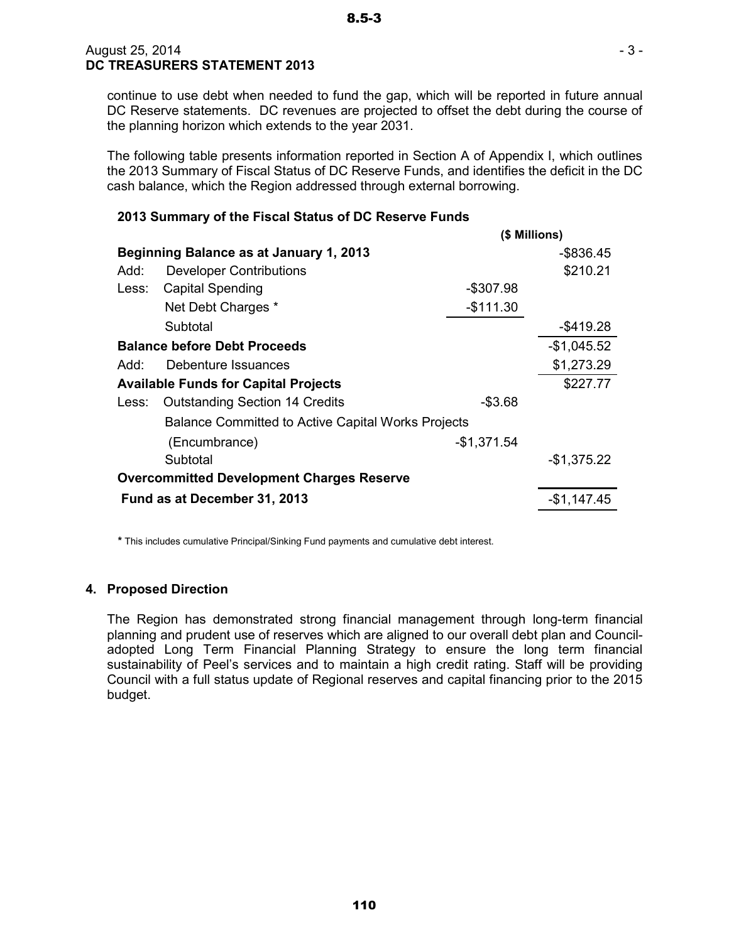continue to use debt when needed to fund the gap, which will be reported in future annual DC Reserve statements. DC revenues are projected to offset the debt during the course of the planning horizon which extends to the year 2031.

The following table presents information reported in Section A of Appendix I, which outlines the 2013 Summary of Fiscal Status of DC Reserve Funds, and identifies the deficit in the DC cash balance, which the Region addressed through external borrowing.

## **2013 Summary of the Fiscal Status of DC Reserve Funds**

|       | (\$ Millions)                                             |              |              |  |  |  |
|-------|-----------------------------------------------------------|--------------|--------------|--|--|--|
|       | <b>Beginning Balance as at January 1, 2013</b>            |              | $-$ \$836.45 |  |  |  |
| Add:  | <b>Developer Contributions</b>                            |              | \$210.21     |  |  |  |
| Less: | <b>Capital Spending</b>                                   | -\$307.98    |              |  |  |  |
|       | Net Debt Charges *                                        | $-$111.30$   |              |  |  |  |
|       | Subtotal                                                  |              | $-$ \$419.28 |  |  |  |
|       | <b>Balance before Debt Proceeds</b>                       |              |              |  |  |  |
| Add:  | Debenture Issuances                                       |              | \$1,273.29   |  |  |  |
|       | <b>Available Funds for Capital Projects</b>               |              | \$227.77     |  |  |  |
| Less: | <b>Outstanding Section 14 Credits</b>                     | $-$3.68$     |              |  |  |  |
|       | <b>Balance Committed to Active Capital Works Projects</b> |              |              |  |  |  |
|       | (Encumbrance)                                             | $-$1,371.54$ |              |  |  |  |
|       | Subtotal                                                  |              | $-$1,375.22$ |  |  |  |
|       | <b>Overcommitted Development Charges Reserve</b>          |              |              |  |  |  |
|       | Fund as at December 31, 2013                              |              |              |  |  |  |

**\*** This includes cumulative Principal/Sinking Fund payments and cumulative debt interest.

### **4. Proposed Direction**

The Region has demonstrated strong financial management through long-term financial planning and prudent use of reserves which are aligned to our overall debt plan and Counciladopted Long Term Financial Planning Strategy to ensure the long term financial sustainability of Peel's services and to maintain a high credit rating. Staff will be providing Council with a full status update of Regional reserves and capital financing prior to the 2015 budget.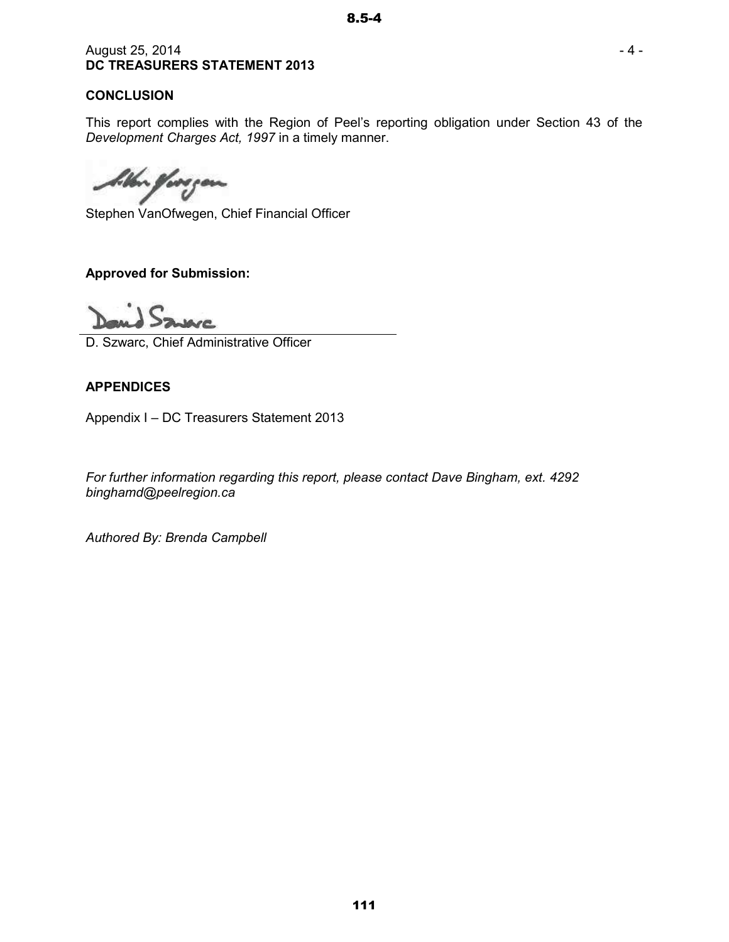## August 25, 2014 **DC TREASURERS STATEMENT 2013**

## **CONCLUSION**

This report complies with the Region of Peel's reporting obligation under Section 43 of the *Development Charges Act, 1997* in a timely manner.

Un forgen

Stephen VanOfwegen, Chief Financial Officer

# **Approved for Submission:**

D. Szwarc, Chief Administrative Officer

# **APPENDICES**

Appendix I – DC Treasurers Statement 2013

*For further information regarding this report, please contact Dave Bingham, ext. 4292 binghamd@peelregion.ca* 

*Authored By: Brenda Campbell*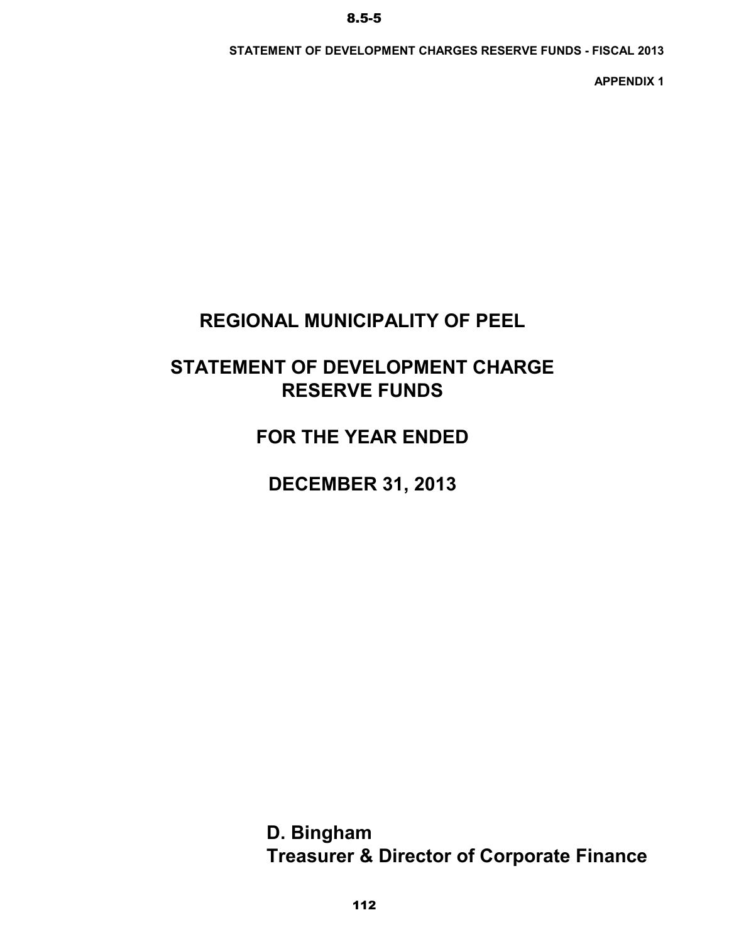**STATEMENT OF DEVELOPMENT CHARGES RESERVE FUNDS - FISCAL 2013**

**APPENDIX 1**

# **REGIONAL MUNICIPALITY OF PEEL**

# **STATEMENT OF DEVELOPMENT CHARGE RESERVE FUNDS**

**FOR THE YEAR ENDED**

**DECEMBER 31, 2013**

**Treasurer & Director of Corporate Finance D. Bingham**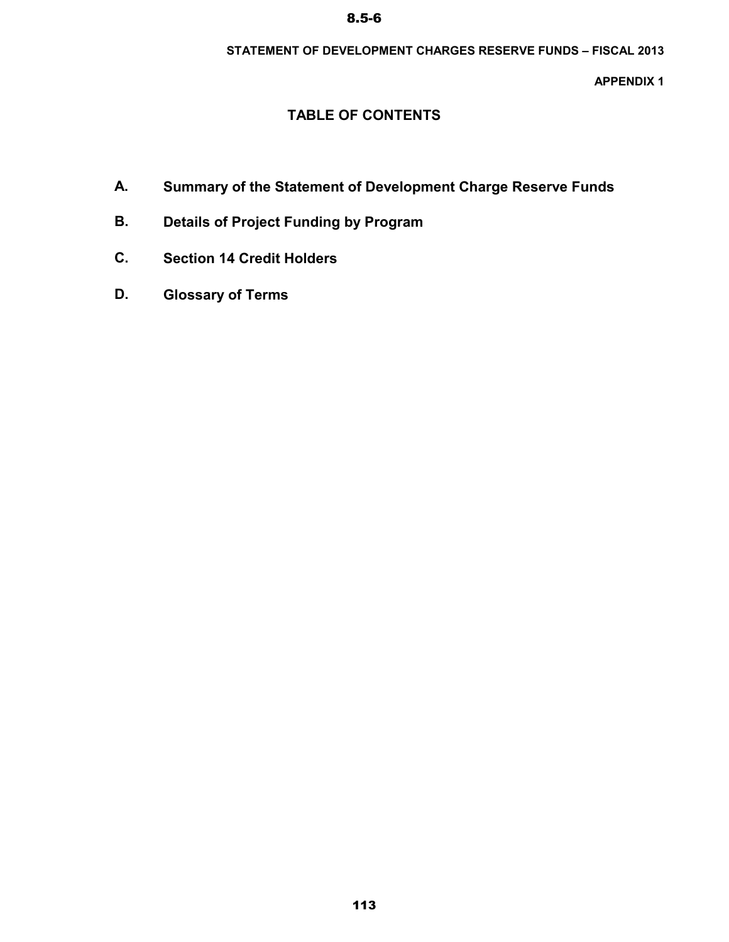## **STATEMENT OF DEVELOPMENT CHARGES RESERVE FUNDS – FISCAL 2013**

**APPENDIX 1**

# **TABLE OF CONTENTS**

- **A. Summary of the Statement of Development Charge Reserve Funds**
- **B. Details of Project Funding by Program**
- **C. Section 14 Credit Holders**
- **D. Glossary of Terms**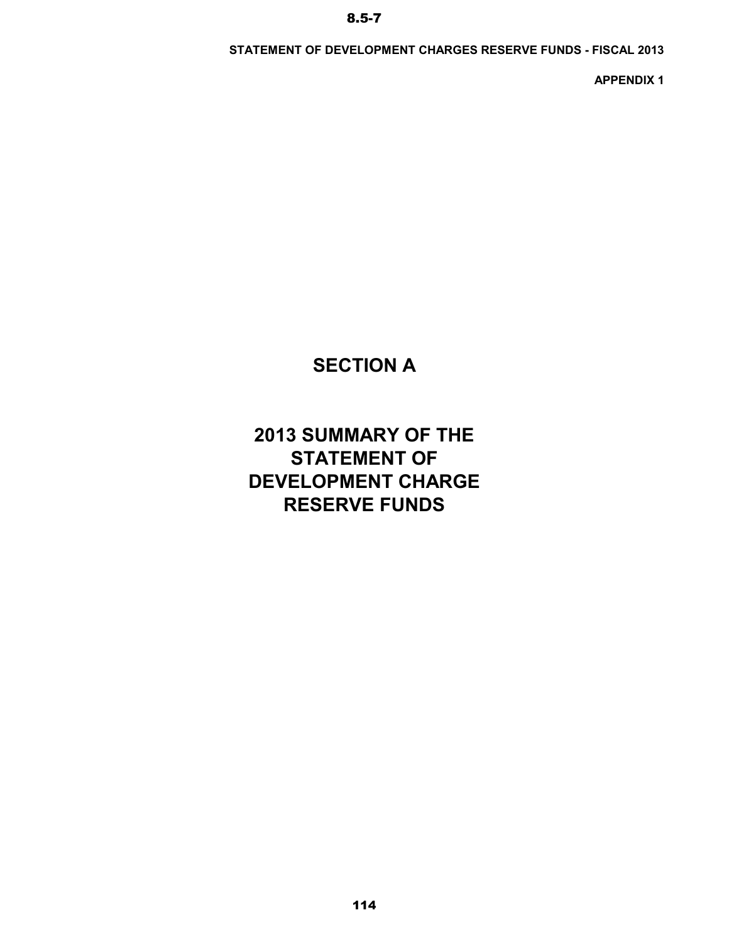**STATEMENT OF DEVELOPMENT CHARGES RESERVE FUNDS - FISCAL 2013**

**APPENDIX 1**

# **SECTION A**

# **2013 SUMMARY OF THE STATEMENT OF DEVELOPMENT CHARGE RESERVE FUNDS**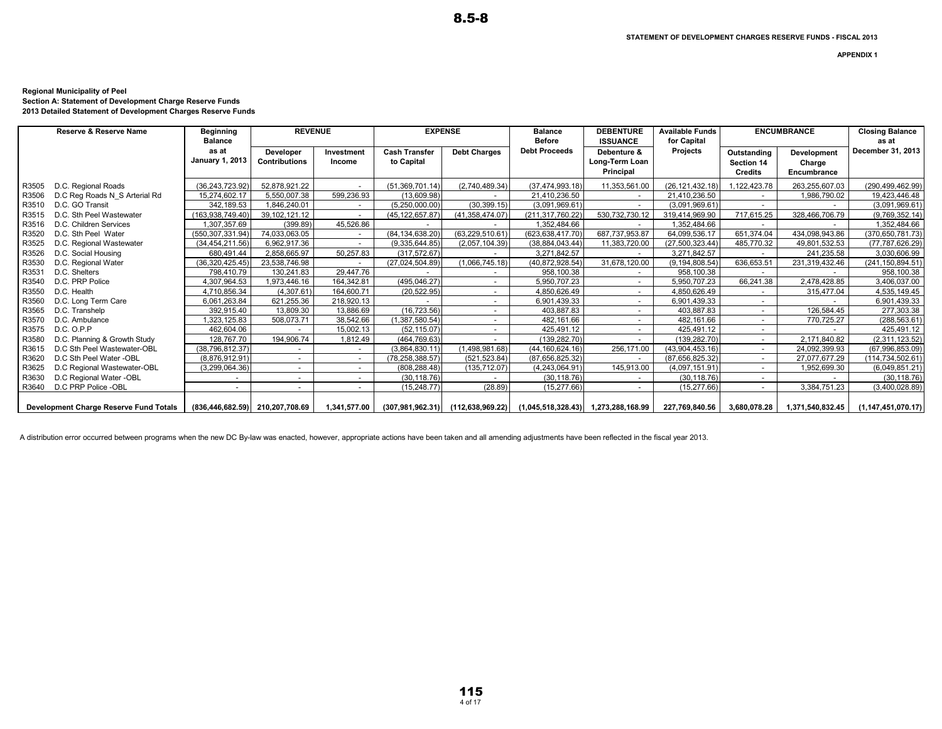**APPENDIX 1** 

#### **Regional Municipality of Peel**

**Section A: Statement of Development Charge Reserve Funds 2013 Detailed Statement of Development Charges Reserve Funds**

|       | <b>Reserve &amp; Reserve Name</b>      | <b>Beginning</b><br><b>Balance</b> | <b>REVENUE</b>                           |                          |                                    | <b>EXPENSE</b>                        | <b>Balance</b><br><b>Before</b>     | <b>DEBENTURE</b><br><b>ISSUANCE</b>        | <b>Available Funds</b><br>for Capital |                                             | <b>ENCUMBRANCE</b>                   | <b>Closing Balance</b><br>as at |
|-------|----------------------------------------|------------------------------------|------------------------------------------|--------------------------|------------------------------------|---------------------------------------|-------------------------------------|--------------------------------------------|---------------------------------------|---------------------------------------------|--------------------------------------|---------------------------------|
|       |                                        | as at<br><b>January 1, 2013</b>    | <b>Developer</b><br><b>Contributions</b> | Investment<br>Income     | <b>Cash Transfer</b><br>to Capital | <b>Debt Charges</b>                   | <b>Debt Proceeds</b>                | Debenture &<br>Long-Term Loan<br>Principal | Projects                              | Outstanding<br>Section 14<br><b>Credits</b> | Development<br>Charge<br>Encumbrance | December 31, 2013               |
| R3505 | D.C. Regional Roads                    | (36, 243, 723.92)                  | 52.878.921.22                            |                          | (51, 369, 701.14)                  | (2.740.489.34)                        | (37, 474, 993, 18)                  | 11.353.561.00                              | (26.121.432.18)                       | 1.122.423.78                                | 263.255.607.03                       | (290,499,462.99)                |
| R3506 | D.C Reg Roads N S Arterial Rd          | 15,274,602.17                      | 5,550,007.38                             | 599.236.93               | (13,609.98)                        |                                       | 21.410.236.50                       | $\overline{\phantom{a}}$                   | 21,410,236.50                         |                                             | 1,986,790.02                         | 19,423,446.48                   |
| R3510 | D.C. GO Transit                        | 342.189.53                         | 1.846.240.01                             | $\sim$                   | (5,250,000.00)                     | (30, 399.15)                          | (3,091,969.61)                      | $\sim$                                     | (3,091,969.61)                        |                                             |                                      | (3,091,969.61)                  |
| R3515 | D.C. Sth Peel Wastewater               | (163.938.749.40)                   | 39,102,121.12                            | $\overline{\phantom{a}}$ | (45, 122, 657.87)                  | (41,358,474.07)                       | (211,317,760.22)                    | 530,732,730.12                             | 319.414.969.90                        | 717,615.25                                  | 328,466,706.79                       | (9,769,352.14)                  |
| R3516 | D.C. Children Services                 | ,307,357.69                        | (399.89)                                 | 45,526.86                |                                    |                                       | 1,352,484.66                        | $\sim$                                     | 1.352.484.66                          |                                             |                                      | 1,352,484.66                    |
| R3520 | D.C. Sth Peel Water                    | (550.307.331.94)                   | 74,033,063.05                            | $\sim$                   | (84, 134, 638.20)                  | (63,229,510.61                        | (623.638.417.70)                    | 687,737,953.87                             | 64,099,536.17                         | 651,374.04                                  | 434,098,943.86                       | (370, 650, 781.73)              |
| R3525 | D.C. Regional Wastewater               | (34.454.211.56)                    | 6.962.917.36                             | $\sim$                   | (9.335.644.85)                     | (2.057.104.39)                        | (38.884.043.44)                     | 11,383,720.00                              | (27.500.323.44)                       | 485,770.32                                  | 49.801.532.53                        | (77, 787, 626.29)               |
| R3526 | D.C. Social Housing                    | 680,491.44                         | 2,858,665.97                             | 50,257.83                | (317.572.67)                       |                                       | 3,271,842.57                        |                                            | 3,271,842.57                          |                                             | 241,235.58                           | 3,030,606.99                    |
| R3530 | D.C. Regional Water                    | (36, 320, 425.45)                  | 23.538.746.98                            |                          | (27,024,504.89)                    | (1,066,745.18)                        | (40.872.928.54)                     | 31,678,120.00                              | (9.194.808.54)                        | 636,653.51                                  | 231,319,432.46                       | (241, 150, 894.51)              |
| R3531 | D.C. Shelters                          | 798.410.79                         | 130.241.83                               | 29,447.76                |                                    | $\overline{\phantom{a}}$              | 958,100.38                          | $\sim$                                     | 958,100.38                            |                                             |                                      | 958.100.38                      |
| R3540 | D.C. PRP Police                        | 4,307,964.53                       | 1.973.446.16                             | 164.342.81               | (495, 046.27)                      | $\sim$                                | 5.950.707.23                        | $\sim$                                     | 5.950.707.23                          | 66,241.38                                   | 2,478,428.85                         | 3,406,037.00                    |
| R3550 | D.C. Health                            | 4,710,856.34                       | (4.307.61)                               | 164.600.71               | (20, 522.95)                       |                                       | 4,850,626.49                        | $\sim$                                     | 4.850.626.49                          |                                             | 315,477.04                           | 4,535,149.45                    |
| R3560 | D.C. Long Term Care                    | 6,061,263.84                       | 621,255.36                               | 218.920.13               |                                    | $\overline{\phantom{a}}$              | 6,901,439.33                        | $\sim$                                     | 6.901.439.33                          |                                             |                                      | 6,901,439.33                    |
| R3565 | D.C. Transhelp                         | 392,915.40                         | 13,809.30                                | 13.886.69                | (16, 723.56)                       | $\sim$                                | 403,887.83                          | $\overline{\phantom{a}}$                   | 403,887.83                            |                                             | 126,584.45                           | 277,303.38                      |
| R3570 | D.C. Ambulance                         | .323,125.83                        | 508.073.71                               | 38.542.66                | (1.387.580.54)                     | $\sim$                                | 482.161.66                          | $\overline{\phantom{a}}$                   | 482.161.66                            |                                             | 770,725.27                           | (288,563.61)                    |
| R3575 | D.C. O.P.P                             | 462,604.06                         |                                          | 15.002.13                | (52, 115.07)                       | $\sim$                                | 425.491.12                          | $\overline{\phantom{a}}$                   | 425,491.12                            |                                             |                                      | 425,491.12                      |
| R3580 | D.C. Planning & Growth Study           | 128.767.70                         | 194,906.74                               | 1,812.49                 | (464, 769.63)                      |                                       | (139, 282.70)                       | $\overline{\phantom{a}}$                   | (139.282.70)                          |                                             | 2.171.840.82                         | (2,311,123.52)                  |
| R3615 | D.C Sth Peel Wastewater-OBL            | (38, 796, 812.37)                  | $\sim$                                   | $\overline{\phantom{a}}$ | (3,864,830.11)                     | (1,498,981.68)                        | (44, 160, 624.16)                   | 256,171.00                                 | (43, 904, 453, 16)                    |                                             | 24,092,399.93                        | (67,996,853.09)                 |
| R3620 | D.C Sth Peel Water -OBL                | (8,876,912.91)                     | $\sim$                                   | $\sim$                   | (78, 258, 388.57)                  | (521, 523.84)                         | (87,656,825.32)                     | $\overline{\phantom{a}}$                   | (87,656,825.32)                       |                                             | 27,077,677.29                        | (114, 734, 502.61)              |
| R3625 | D.C Regional Wastewater-OBL            | (3,299,064.36)                     | $\sim$                                   | $\sim$                   | (808, 288.48)                      | (135, 712.07)                         | (4,243,064.91)                      | 145,913.00                                 | (4,097,151.91)                        |                                             | 1,952,699.30                         | (6,049,851.21)                  |
| R3630 | D.C Regional Water -OBL                |                                    | $\sim$                                   | $\sim$                   | (30.118.76)                        |                                       | (30, 118.76)                        | $\sim$                                     | (30.118.76)                           |                                             |                                      | (30.118.76)                     |
| R3640 | D.C PRP Police -OBL                    |                                    | $\sim$                                   | $\overline{\phantom{a}}$ | (15, 248.77)                       | (28.89)                               | (15, 277.66)                        | $\overline{\phantom{a}}$                   | (15, 277.66)                          |                                             | 3,384,751.23                         | (3,400,028.89)                  |
|       | Development Charge Reserve Fund Totals | (836,446,682.59) 210,207,708.69    |                                          | 1,341,577.00             |                                    | $(307,981,962.31)$ $(112,638,969.22)$ | (1,045,518,328.43) 1,273,288,168.99 |                                            | 227,769,840.56                        | 3,680,078.28                                | 1,371,540,832.45                     | (1, 147, 451, 070.17)           |

8.5-8

A distribution error occurred between programs when the new DC By-law was enacted, however, appropriate actions have been taken and all amending adjustments have been reflected in the fiscal year 2013.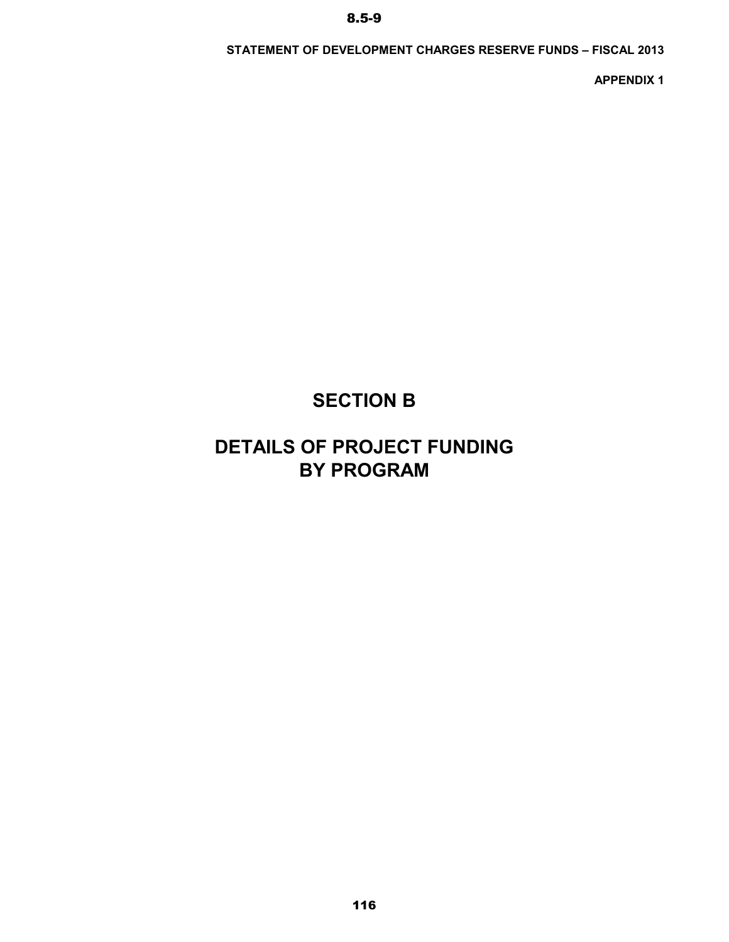### **STATEMENT OF DEVELOPMENT CHARGES RESERVE FUNDS – FISCAL 2013**

**APPENDIX 1**

# **SECTION B**

# **DETAILS OF PROJECT FUNDING BY PROGRAM**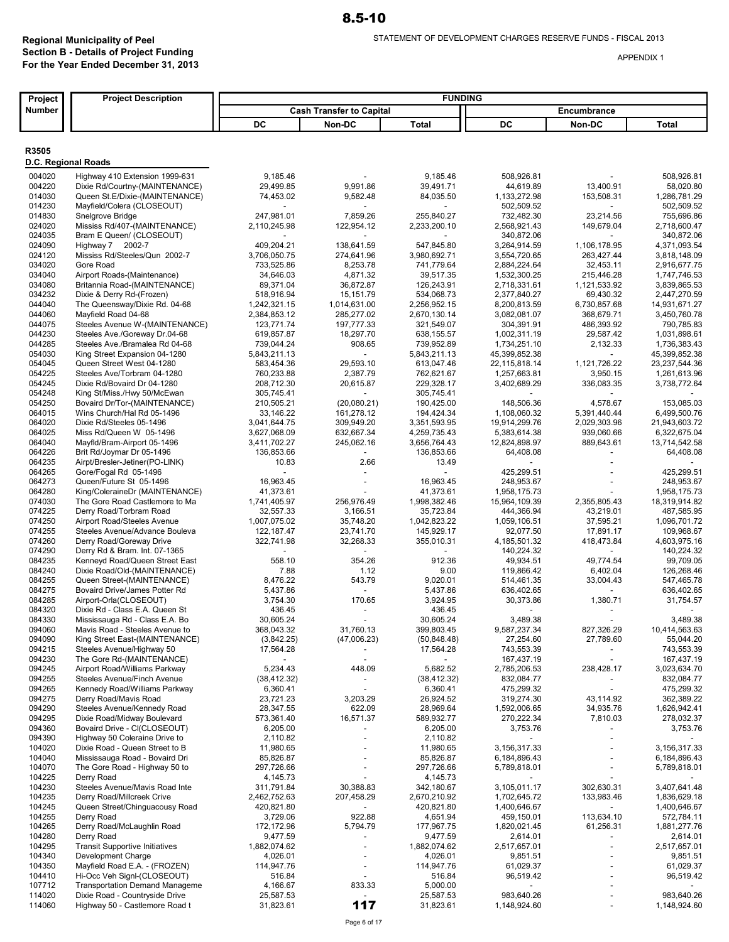| Project             | <b>Project Description</b>                                   | <b>FUNDING</b>             |                                 |                          |                            |                         |                              |
|---------------------|--------------------------------------------------------------|----------------------------|---------------------------------|--------------------------|----------------------------|-------------------------|------------------------------|
| Number              |                                                              |                            | <b>Cash Transfer to Capital</b> |                          |                            | Encumbrance             |                              |
|                     |                                                              | DC                         | Non-DC                          | Total                    | DC                         | Non-DC                  | <b>Total</b>                 |
|                     |                                                              |                            |                                 |                          |                            |                         |                              |
| R3505               |                                                              |                            |                                 |                          |                            |                         |                              |
| D.C. Regional Roads |                                                              |                            |                                 |                          |                            |                         |                              |
| 004020              | Highway 410 Extension 1999-631                               | 9,185.46                   |                                 | 9,185.46                 | 508,926.81                 |                         | 508,926.81                   |
| 004220              | Dixie Rd/Courtny-(MAINTENANCE)                               | 29,499.85                  | 9,991.86                        | 39,491.71                | 44,619.89                  | 13,400.91               | 58,020.80                    |
| 014030              | Queen St.E/Dixie-(MAINTENANCE)                               | 74,453.02                  | 9,582.48                        | 84,035.50                | 1,133,272.98               | 153,508.31              | 1,286,781.29                 |
| 014230              | Mayfield/Colera (CLOSEOUT)                                   |                            |                                 |                          | 502,509.52                 |                         | 502,509.52                   |
| 014830              | Snelgrove Bridge                                             | 247,981.01                 | 7,859.26                        | 255.840.27               | 732,482.30                 | 23,214.56               | 755,696.86                   |
| 024020              | Mississ Rd/407-(MAINTENANCE)                                 | 2,110,245.98               | 122,954.12                      | 2,233,200.10             | 2,568,921.43               | 149,679.04              | 2,718,600.47                 |
| 024035<br>024090    | Bram E Queen/ (CLOSEOUT)<br>Highway 7 2002-7                 | 409,204.21                 | 138,641.59                      | 547,845.80               | 340,872.06<br>3,264,914.59 | 1,106,178.95            | 340,872.06<br>4,371,093.54   |
| 024120              | Mississ Rd/Steeles/Qun 2002-7                                | 3,706,050.75               | 274,641.96                      | 3,980,692.71             | 3,554,720.65               | 263,427.44              | 3,818,148.09                 |
| 034020              | Gore Road                                                    | 733,525.86                 | 8,253.78                        | 741,779.64               | 2,884,224.64               | 32,453.11               | 2,916,677.75                 |
| 034040              | Airport Roads-(Maintenance)                                  | 34,646.03                  | 4,871.32                        | 39,517.35                | 1,532,300.25               | 215,446.28              | 1,747,746.53                 |
| 034080              | Britannia Road-(MAINTENANCE)                                 | 89,371.04                  | 36,872.87                       | 126,243.91               | 2,718,331.61               | 1,121,533.92            | 3,839,865.53                 |
| 034232              | Dixie & Derry Rd-(Frozen)                                    | 518,916.94                 | 15, 151.79                      | 534,068.73               | 2,377,840.27               | 69,430.32               | 2,447,270.59                 |
| 044040              | The Queensway/Dixie Rd. 04-68                                | 1,242,321.15               | 1,014,631.00                    | 2,256,952.15             | 8,200,813.59               | 6,730,857.68            | 14,931,671.27                |
| 044060              | Mayfield Road 04-68                                          | 2,384,853.12               | 285,277.02                      | 2,670,130.14             | 3,082,081.07               | 368,679.71              | 3,450,760.78                 |
| 044075              | Steeles Avenue W-(MAINTENANCE)                               | 123,771.74                 | 197,777.33                      | 321,549.07               | 304,391.91                 | 486,393.92              | 790,785.83                   |
| 044230              | Steeles Ave./Goreway Dr.04-68                                | 619,857.87                 | 18,297.70                       | 638,155.57               | 1,002,311.19               | 29,587.42               | 1,031,898.61                 |
| 044285              | Steeles Ave./Bramalea Rd 04-68                               | 739,044.24                 | 908.65                          | 739,952.89               | 1,734,251.10               | 2,132.33                | 1,736,383.43                 |
| 054030              | King Street Expansion 04-1280                                | 5,843,211.13               |                                 | 5,843,211.13             | 45,399,852.38              |                         | 45,399,852.38                |
| 054045              | Queen Street West 04-1280                                    | 583,454.36                 | 29,593.10                       | 613,047.46               | 22, 115, 818.14            | 1,121,726.22            | 23,237,544.36                |
| 054225<br>054245    | Steeles Ave/Torbram 04-1280<br>Dixie Rd/Bovaird Dr 04-1280   | 760,233.88                 | 2,387.79<br>20,615.87           | 762,621.67               | 1,257,663.81               | 3,950.15<br>336.083.35  | 1,261,613.96<br>3,738,772.64 |
| 054248              | King St/Miss./Hwy 50/McEwan                                  | 208,712.30<br>305,745.41   |                                 | 229,328.17<br>305,745.41 | 3,402,689.29               |                         |                              |
| 054250              | Bovaird Dr/Tor-(MAINTENANCE)                                 | 210,505.21                 | (20,080.21)                     | 190,425.00               | 148.506.36                 | 4,578.67                | 153,085.03                   |
| 064015              | Wins Church/Hal Rd 05-1496                                   | 33,146.22                  | 161,278.12                      | 194,424.34               | 1,108,060.32               | 5,391,440.44            | 6,499,500.76                 |
| 064020              | Dixie Rd/Steeles 05-1496                                     | 3,041,644.75               | 309,949.20                      | 3,351,593.95             | 19,914,299.76              | 2,029,303.96            | 21,943,603.72                |
| 064025              | Miss Rd/Queen W 05-1496                                      | 3,627,068.09               | 632,667.34                      | 4,259,735.43             | 5,383,614.38               | 939,060.66              | 6,322,675.04                 |
| 064040              | Mayfld/Bram-Airport 05-1496                                  | 3,411,702.27               | 245,062.16                      | 3,656,764.43             | 12,824,898.97              | 889,643.61              | 13,714,542.58                |
| 064226              | Brit Rd/Joymar Dr 05-1496                                    | 136,853.66                 |                                 | 136,853.66               | 64,408.08                  |                         | 64,408.08                    |
| 064235              | Airpt/Bresler-Jetiner(PO-LINK)                               | 10.83                      | 2.66                            | 13.49                    |                            |                         |                              |
| 064265              | Gore/Fogal Rd 05-1496                                        |                            |                                 |                          | 425,299.51                 |                         | 425,299.51                   |
| 064273              | Queen/Future St 05-1496                                      | 16,963.45                  |                                 | 16,963.45                | 248,953.67                 |                         | 248,953.67                   |
| 064280              | King/ColeraineDr (MAINTENANCE)                               | 41,373.61                  |                                 | 41,373.61                | 1,958,175.73               |                         | 1,958,175.73                 |
| 074030              | The Gore Road Castlemore to Ma                               | 1,741,405.97               | 256,976.49                      | 1,998,382.46             | 15,964,109.39              | 2,355,805.43            | 18,319,914.82                |
| 074225              | Derry Road/Torbram Road                                      | 32,557.33                  | 3,166.51                        | 35,723.84                | 444,366.94                 | 43,219.01               | 487,585.95                   |
| 074250              | Airport Road/Steeles Avenue                                  | 1,007,075.02               | 35,748.20                       | 1,042,823.22             | 1,059,106.51               | 37,595.21               | 1,096,701.72                 |
| 074255<br>074260    | Steeles Avenue/Advance Bouleva<br>Derry Road/Goreway Drive   | 122, 187. 47<br>322,741.98 | 23,741.70<br>32,268.33          | 145,929.17<br>355,010.31 | 92,077.50<br>4,185,501.32  | 17,891.17<br>418,473.84 | 109,968.67<br>4,603,975.16   |
| 074290              | Derry Rd & Bram. Int. 07-1365                                |                            |                                 |                          | 140,224.32                 |                         | 140,224.32                   |
| 084235              | Kenneyd Road/Queen Street East                               | 558.10                     | 354.26                          | 912.36                   | 49,934.51                  | 49,774.54               | 99,709.05                    |
| 084240              | Dixie Road/Old-(MAINTENANCE)                                 | 7.88                       | 1.12                            | 9.00                     | 119,866.42                 | 6,402.04                | 126,268.46                   |
| 084255              | Queen Street-(MAINTENANCE)                                   | 8,476.22                   | 543.79                          | 9,020.01                 | 514,461.35                 | 33,004.43               | 547,465.78                   |
| 084275              | Bovaird Drive/James Potter Rd                                | 5,437.86                   |                                 | 5,437.86                 | 636,402.65                 |                         | 636,402.65                   |
| 084285              | Airport-Orla(CLOSEOUT)                                       | 3,754.30                   | 170.65                          | 3,924.95                 | 30,373.86                  | 1,380.71                | 31,754.57                    |
| 084320              | Dixie Rd - Class E.A. Queen St                               | 436.45                     |                                 | 436.45                   |                            |                         |                              |
| 084330              | Mississauga Rd - Class E.A. Bo                               | 30,605.24                  |                                 | 30,605.24                | 3,489.38                   |                         | 3,489.38                     |
| 094060              | Mavis Road - Steeles Avenue to                               | 368,043.32                 | 31,760.13                       | 399,803.45               | 9,587,237.34               | 827,326.29              | 10,414,563.63                |
| 094090              | King Street East-(MAINTENANCE)                               | (3,842.25)                 | (47,006.23)                     | (50, 848.48)             | 27,254.60                  | 27,789.60               | 55,044.20                    |
| 094215              | Steeles Avenue/Highway 50                                    | 17,564.28                  |                                 | 17,564.28                | 743,553.39                 |                         | 743,553.39                   |
| 094230              | The Gore Rd-(MAINTENANCE)                                    |                            |                                 |                          | 167,437.19                 |                         | 167,437.19                   |
| 094245              | Airport Road/Williams Parkway                                | 5,234.43                   | 448.09                          | 5,682.52                 | 2,785,206.53               | 238,428.17              | 3,023,634.70                 |
| 094255<br>094265    | Steeles Avenue/Finch Avenue<br>Kennedy Road/Williams Parkway | (38, 412.32)<br>6,360.41   |                                 | (38, 412.32)<br>6,360.41 | 832,084.77<br>475,299.32   |                         | 832,084.77<br>475,299.32     |
| 094275              | Derry Road/Mavis Road                                        | 23,721.23                  | 3,203.29                        | 26,924.52                | 319,274.30                 | 43,114.92               | 362,389.22                   |
| 094290              | Steeles Avenue/Kennedy Road                                  | 28,347.55                  | 622.09                          | 28,969.64                | 1,592,006.65               | 34,935.76               | 1,626,942.41                 |
| 094295              | Dixie Road/Midway Boulevard                                  | 573,361.40                 | 16,571.37                       | 589,932.77               | 270,222.34                 | 7,810.03                | 278,032.37                   |
| 094360              | Bovaird Drive - CI(CLOSEOUT)                                 | 6,205.00                   |                                 | 6,205.00                 | 3,753.76                   |                         | 3,753.76                     |
| 094390              | Highway 50 Coleraine Drive to                                | 2,110.82                   |                                 | 2,110.82                 |                            |                         |                              |
| 104020              | Dixie Road - Queen Street to B                               | 11,980.65                  |                                 | 11,980.65                | 3,156,317.33               |                         | 3,156,317.33                 |
| 104040              | Mississauga Road - Bovaird Dri                               | 85,826.87                  |                                 | 85,826.87                | 6,184,896.43               |                         | 6,184,896.43                 |
| 104070              | The Gore Road - Highway 50 to                                | 297,726.66                 |                                 | 297,726.66               | 5,789,818.01               |                         | 5,789,818.01                 |
| 104225              | Derry Road                                                   | 4,145.73                   |                                 | 4,145.73                 |                            |                         |                              |
| 104230              | Steeles Avenue/Mavis Road Inte                               | 311,791.84                 | 30,388.83                       | 342,180.67               | 3,105,011.17               | 302,630.31              | 3,407,641.48                 |
| 104235              | Derry Road/Millcreek Crive                                   | 2,462,752.63               | 207,458.29                      | 2,670,210.92             | 1,702,645.72               | 133,983.46              | 1,836,629.18                 |
| 104245              | Queen Street/Chinguacousy Road                               | 420,821.80                 |                                 | 420,821.80               | 1,400,646.67               |                         | 1,400,646.67                 |
| 104255              | Derry Road                                                   | 3,729.06                   | 922.88                          | 4,651.94                 | 459,150.01                 | 113,634.10              | 572,784.11                   |
| 104265              | Derry Road/McLaughlin Road                                   | 172,172.96                 | 5,794.79                        | 177,967.75               | 1,820,021.45               | 61,256.31               | 1,881,277.76                 |
| 104280              | Derry Road                                                   | 9,477.59                   |                                 | 9,477.59                 | 2,614.01                   |                         | 2,614.01                     |
| 104295<br>104340    | <b>Transit Supportive Initiatives</b><br>Development Charge  | 1,882,074.62<br>4,026.01   |                                 | 1,882,074.62<br>4,026.01 | 2,517,657.01<br>9,851.51   |                         | 2,517,657.01<br>9,851.51     |
| 104350              | Mayfield Road E.A. - (FROZEN)                                | 114,947.76                 |                                 | 114,947.76               | 61,029.37                  |                         | 61,029.37                    |
| 104410              | Hi-Occ Veh Signl-(CLOSEOUT)                                  | 516.84                     |                                 | 516.84                   | 96,519.42                  |                         | 96,519.42                    |
| 107712              | <b>Transportation Demand Manageme</b>                        | 4,166.67                   | 833.33                          | 5,000.00                 |                            |                         |                              |
| 114020              | Dixie Road - Countryside Drive                               | 25,587.53                  |                                 | 25,587.53                | 983,640.26                 |                         | 983,640.26                   |
| 114060              | Highway 50 - Castlemore Road t                               | 31,823.61                  | 117                             | 31,823.61                | 1,148,924.60               |                         | 1,148,924.60                 |

Page 6 of 17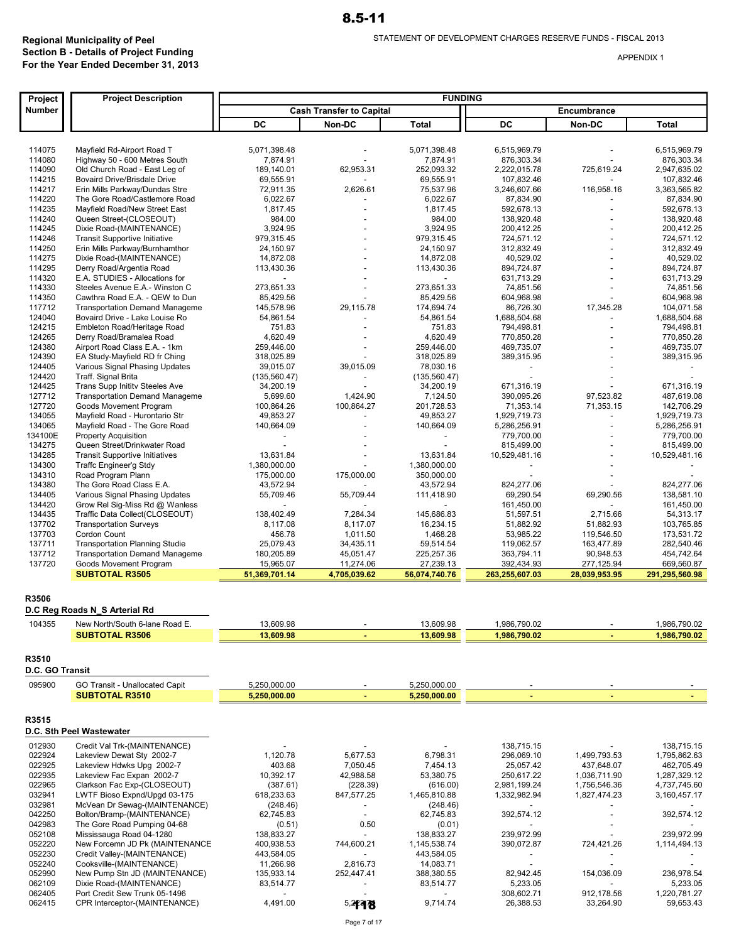| Project          | <b>Project Description</b>                                    | <b>FUNDING</b>           |                                 |                        |                              |                          |                              |
|------------------|---------------------------------------------------------------|--------------------------|---------------------------------|------------------------|------------------------------|--------------------------|------------------------------|
| Number           |                                                               |                          | <b>Cash Transfer to Capital</b> |                        |                              | Encumbrance              |                              |
|                  |                                                               | DC                       | Non-DC                          | <b>Total</b>           | DC                           | Non-DC                   | Total                        |
|                  |                                                               |                          |                                 |                        |                              |                          |                              |
| 114075           | Mayfield Rd-Airport Road T                                    | 5,071,398.48             |                                 | 5,071,398.48           | 6,515,969.79                 |                          | 6,515,969.79                 |
| 114080           | Highway 50 - 600 Metres South                                 | 7,874.91                 |                                 | 7,874.91               | 876.303.34                   |                          | 876,303.34                   |
| 114090           | Old Church Road - East Leg of                                 | 189,140.01               | 62,953.31                       | 252,093.32             | 2,222,015.78                 | 725,619.24               | 2,947,635.02                 |
| 114215           | <b>Bovaird Drive/Brisdale Drive</b>                           | 69,555.91                |                                 | 69,555.91              | 107,832.46                   |                          | 107,832.46                   |
| 114217           | Erin Mills Parkway/Dundas Stre                                | 72,911.35                | 2,626.61                        | 75,537.96              | 3,246,607.66                 | 116,958.16               | 3,363,565.82                 |
| 114220           | The Gore Road/Castlemore Road                                 | 6,022.67                 |                                 | 6,022.67               | 87,834.90                    |                          | 87,834.90                    |
| 114235           | Mayfield Road/New Street East                                 | 1,817.45                 |                                 | 1,817.45               | 592,678.13<br>138.920.48     |                          | 592,678.13                   |
| 114240<br>114245 | Queen Street-(CLOSEOUT)<br>Dixie Road-(MAINTENANCE)           | 984.00<br>3,924.95       |                                 | 984.00<br>3,924.95     |                              |                          | 138,920.48<br>200,412.25     |
| 114246           | <b>Transit Supportive Initiative</b>                          | 979,315.45               |                                 | 979,315.45             | 200,412.25<br>724,571.12     |                          | 724,571.12                   |
| 114250           | Erin Mills Parkway/Burnhamthor                                | 24,150.97                |                                 | 24,150.97              | 312,832.49                   |                          | 312.832.49                   |
| 114275           | Dixie Road-(MAINTENANCE)                                      | 14,872.08                |                                 | 14,872.08              | 40,529.02                    |                          | 40,529.02                    |
| 114295           | Derry Road/Argentia Road                                      | 113,430.36               |                                 | 113,430.36             | 894,724.87                   |                          | 894,724.87                   |
| 114320           | E.A. STUDIES - Allocations for                                | $\overline{\phantom{a}}$ |                                 |                        | 631,713.29                   |                          | 631,713.29                   |
| 114330           | Steeles Avenue E.A.- Winston C                                | 273,651.33               |                                 | 273,651.33             | 74,851.56                    |                          | 74,851.56                    |
| 114350           | Cawthra Road E.A. - QEW to Dun                                | 85,429.56                |                                 | 85,429.56              | 604,968.98                   |                          | 604,968.98                   |
| 117712           | <b>Transportation Demand Manageme</b>                         | 145,578.96               | 29,115.78                       | 174,694.74             | 86,726.30                    | 17,345.28                | 104,071.58                   |
| 124040           | Bovaird Drive - Lake Louise Ro                                | 54,861.54                |                                 | 54,861.54              | 1,688,504.68                 |                          | 1,688,504.68                 |
| 124215           | Embleton Road/Heritage Road                                   | 751.83                   |                                 | 751.83                 | 794,498.81                   |                          | 794,498.81                   |
| 124265           | Derry Road/Bramalea Road                                      | 4,620.49                 |                                 | 4,620.49               | 770,850.28                   |                          | 770,850.28                   |
| 124380           | Airport Road Class E.A. - 1km                                 | 259,446.00               |                                 | 259,446.00             | 469,735.07                   |                          | 469,735.07                   |
| 124390           | EA Study-Mayfield RD fr Ching                                 | 318,025.89               |                                 | 318,025.89             | 389,315.95                   |                          | 389,315.95                   |
| 124405           | Various Signal Phasing Updates                                | 39,015.07                | 39,015.09                       | 78,030.16              |                              |                          |                              |
| 124420           | Traff. Signal Brita                                           | (135, 560.47)            |                                 | (135, 560.47)          |                              |                          |                              |
| 124425           | Trans Supp Initity Steeles Ave                                | 34,200.19                |                                 | 34,200.19              | 671,316.19                   |                          | 671,316.19                   |
| 127712           | <b>Transportation Demand Manageme</b>                         | 5,699.60                 | 1,424.90                        | 7,124.50               | 390,095.26                   | 97,523.82                | 487,619.08                   |
| 127720           | Goods Movement Program                                        | 100,864.26               | 100,864.27                      | 201,728.53             | 71,353.14                    | 71,353.15                | 142,706.29                   |
| 134055           | Mayfield Road - Hurontario Str                                | 49,853.27                |                                 | 49,853.27              | 1,929,719.73                 |                          | 1,929,719.73                 |
| 134065           | Mayfield Road - The Gore Road                                 | 140,664.09               | $\overline{a}$                  | 140,664.09             | 5,286,256.91                 | $\overline{\phantom{a}}$ | 5,286,256.91                 |
| 134100E          | <b>Property Acquisition</b>                                   |                          |                                 |                        | 779,700.00                   |                          | 779,700.00                   |
| 134275           | Queen Street/Drinkwater Road                                  |                          |                                 |                        | 815,499.00                   |                          | 815,499.00                   |
| 134285           | <b>Transit Supportive Initiatives</b>                         | 13,631.84                |                                 | 13,631.84              | 10,529,481.16                |                          | 10,529,481.16                |
| 134300           | Traffc Engineer'g Stdy                                        | 1,380,000.00             |                                 | 1,380,000.00           |                              |                          |                              |
| 134310           | Road Program Plann                                            | 175,000.00               | 175,000.00                      | 350,000.00             |                              |                          |                              |
| 134380           | The Gore Road Class E.A.                                      | 43,572.94                |                                 | 43,572.94              | 824,277.06                   |                          | 824,277.06                   |
| 134405           | Various Signal Phasing Updates                                | 55,709.46                | 55,709.44                       | 111,418.90             | 69,290.54                    | 69,290.56                | 138,581.10                   |
| 134420           | Grow Rel Sig-Miss Rd @ Wanless                                |                          |                                 |                        | 161,450.00                   |                          | 161,450.00                   |
| 134435<br>137702 | Traffic Data Collect(CLOSEOUT)                                | 138,402.49               | 7,284.34<br>8,117.07            | 145,686.83             | 51,597.51<br>51,882.92       | 2,715.66<br>51,882.93    | 54,313.17<br>103,765.85      |
| 137703           | <b>Transportation Surveys</b><br>Cordon Count                 | 8,117.08                 |                                 | 16,234.15              |                              |                          |                              |
| 137711           | <b>Transportation Planning Studie</b>                         | 456.78<br>25,079.43      | 1,011.50<br>34,435.11           | 1,468.28<br>59,514.54  | 53,985.22<br>119,062.57      | 119,546.50<br>163,477.89 | 173,531.72<br>282,540.46     |
| 137712           | <b>Transportation Demand Manageme</b>                         | 180,205.89               | 45,051.47                       | 225,257.36             | 363,794.11                   | 90,948.53                | 454,742.64                   |
| 137720           | Goods Movement Program                                        | 15,965.07                | 11,274.06                       | 27,239.13              | 392,434.93                   | 277,125.94               | 669,560.87                   |
|                  | <b>SUBTOTAL R3505</b>                                         | 51,369,701.14            | 4,705,039.62                    | 56,074,740.76          | 263,255,607.03               | 28,039,953.95            | 291,295,560.98               |
|                  |                                                               |                          |                                 |                        |                              |                          |                              |
| R3506            |                                                               |                          |                                 |                        |                              |                          |                              |
|                  | D.C Reg Roads N_S Arterial Rd                                 |                          |                                 |                        |                              |                          |                              |
|                  |                                                               |                          |                                 |                        |                              |                          |                              |
| 104355           | New North/South 6-lane Road E.<br><b>SUBTOTAL R3506</b>       | 13,609.98<br>13,609.98   |                                 | 13,609.98<br>13,609.98 | 1,986,790.02<br>1,986,790.02 |                          | 1,986,790.02<br>1,986,790.02 |
|                  |                                                               |                          |                                 |                        |                              |                          |                              |
| R3510            |                                                               |                          |                                 |                        |                              |                          |                              |
| D.C. GO Transit  |                                                               |                          |                                 |                        |                              |                          |                              |
|                  |                                                               |                          |                                 |                        |                              |                          |                              |
| 095900           | GO Transit - Unallocated Capit                                | 5,250,000.00             |                                 | 5,250,000.00           |                              |                          |                              |
|                  | <b>SUBTOTAL R3510</b>                                         | 5,250,000.00             |                                 | 5,250,000.00           |                              |                          |                              |
| R3515            |                                                               |                          |                                 |                        |                              |                          |                              |
|                  | D.C. Sth Peel Wastewater                                      |                          |                                 |                        |                              |                          |                              |
|                  |                                                               |                          |                                 |                        |                              |                          |                              |
| 012930           | Credit Val Trk-(MAINTENANCE)                                  |                          |                                 |                        | 138,715.15                   |                          | 138,715.15                   |
| 022924           | Lakeview Dewat Sty 2002-7                                     | 1,120.78                 | 5,677.53                        | 6,798.31               | 296,069.10                   | 1,499,793.53             | 1,795,862.63                 |
| 022925           | Lakeview Hdwks Upg 2002-7                                     | 403.68                   | 7,050.45                        | 7,454.13               | 25,057.42                    | 437,648.07               | 462,705.49                   |
| 022935           | Lakeview Fac Expan 2002-7                                     | 10,392.17                | 42,988.58                       | 53,380.75              | 250,617.22                   | 1,036,711.90             | 1,287,329.12                 |
| 022965           | Clarkson Fac Exp-(CLOSEOUT)                                   | (387.61)                 | (228.39)                        | (616.00)               | 2,981,199.24                 | 1,756,546.36             | 4,737,745.60                 |
| 032941           | LWTF Bioso Expnd/Upgd 03-175<br>McVean Dr Sewag-(MAINTENANCE) | 618,233.63               | 847,577.25                      | 1,465,810.88           | 1,332,982.94                 | 1,827,474.23             | 3,160,457.17                 |
| 032981<br>042250 | Bolton/Bramp-(MAINTENANCE)                                    | (248.46)<br>62,745.83    | $\overline{\phantom{a}}$        | (248.46)<br>62,745.83  | 392,574.12                   |                          | 392,574.12                   |
| 042983           | The Gore Road Pumping 04-68                                   | (0.51)                   | 0.50                            | (0.01)                 |                              |                          |                              |
| 052108           | Mississauga Road 04-1280                                      | 138,833.27               |                                 | 138,833.27             | 239,972.99                   |                          | 239,972.99                   |
| 052220           | New Forcemn JD Pk (MAINTENANCE                                | 400,938.53               | 744,600.21                      | 1,145,538.74           | 390,072.87                   | 724,421.26               | 1,114,494.13                 |
| 052230           | Credit Valley-(MAINTENANCE)                                   | 443,584.05               |                                 | 443,584.05             |                              |                          |                              |
| 052240           | Cooksville-(MAINTENANCE)                                      | 11,266.98                | 2,816.73                        | 14,083.71              |                              |                          |                              |
| 052990           | New Pump Stn JD (MAINTENANCE)                                 | 135,933.14               | 252,447.41                      | 388,380.55             | 82,942.45                    | 154,036.09               | 236,978.54                   |
| 062109           | Dixie Road-(MAINTENANCE)                                      | 83,514.77                |                                 | 83,514.77              | 5,233.05                     |                          | 5,233.05                     |
| 062405           | Port Credit Sew Trunk 05-1496                                 |                          |                                 |                        | 308,602.71                   | 912,178.56               | 1,220,781.27                 |
| 062415           | CPR Interceptor-(MAINTENANCE)                                 | 4,491.00                 | 5,2498                          | 9,714.74               | 26,388.53                    | 33,264.90                | 59,653.43                    |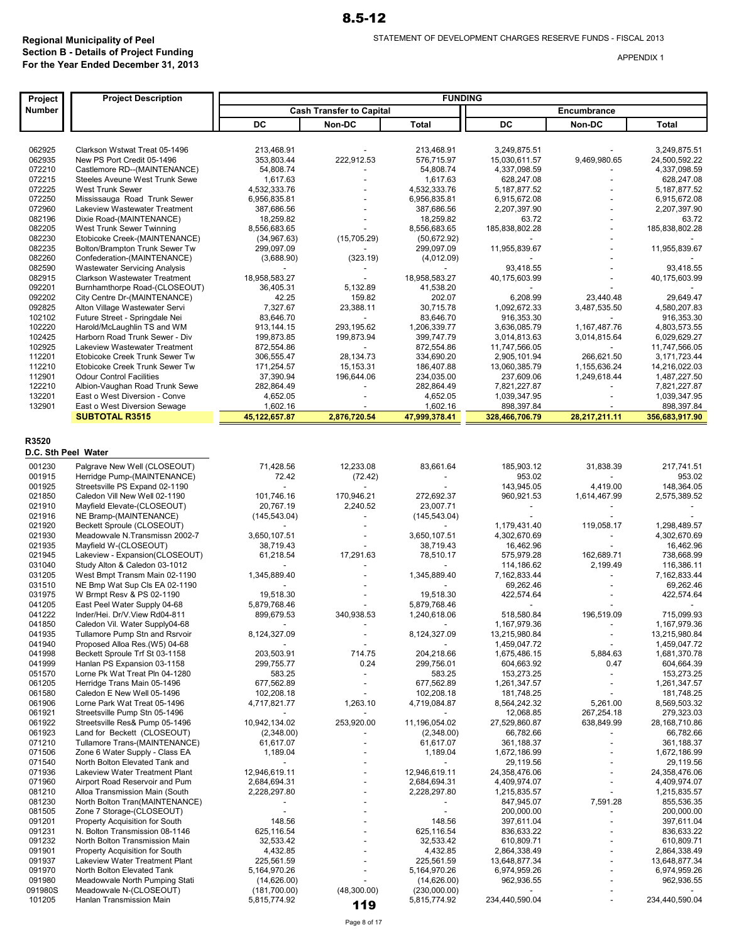| Project             | <b>Project Description</b>                                          |                          |                                 | <b>FUNDING</b>           |                                        |                                          |                                  |
|---------------------|---------------------------------------------------------------------|--------------------------|---------------------------------|--------------------------|----------------------------------------|------------------------------------------|----------------------------------|
| Number              |                                                                     |                          | <b>Cash Transfer to Capital</b> |                          |                                        | Encumbrance                              |                                  |
|                     |                                                                     | DC                       | Non-DC                          | <b>Total</b>             | DC                                     | Non-DC                                   | <b>Total</b>                     |
|                     |                                                                     |                          |                                 |                          |                                        |                                          |                                  |
| 062925              | Clarkson Wstwat Treat 05-1496                                       | 213,468.91               |                                 | 213,468.91               | 3,249,875.51                           |                                          | 3,249,875.51                     |
| 062935              | New PS Port Credit 05-1496                                          | 353,803.44               | 222.912.53                      | 576.715.97               | 15,030,611.57                          | 9,469,980.65                             | 24,500,592.22                    |
| 072210              | Castlemore RD--(MAINTENANCE)                                        | 54,808.74                |                                 | 54,808.74                | 4,337,098.59                           |                                          | 4,337,098.59                     |
| 072215<br>072225    | Steeles Aveune West Trunk Sewe<br>West Trunk Sewer                  | 1,617.63<br>4,532,333.76 |                                 | 1,617.63<br>4,532,333.76 | 628,247.08<br>5, 187, 877.52           |                                          | 628,247.08<br>5, 187, 877.52     |
| 072250              | Mississauga Road Trunk Sewer                                        | 6,956,835.81             |                                 | 6,956,835.81             | 6,915,672.08                           |                                          | 6,915,672.08                     |
| 072960              | Lakeview Wastewater Treatment                                       | 387,686.56               |                                 | 387,686.56               | 2,207,397.90                           |                                          | 2,207,397.90                     |
| 082196              | Dixie Road-(MAINTENANCE)                                            | 18,259.82                |                                 | 18,259.82                | 63.72                                  |                                          | 63.72                            |
| 082205              | West Trunk Sewer Twinning                                           | 8,556,683.65             |                                 | 8,556,683.65             | 185,838,802.28                         |                                          | 185,838,802.28                   |
| 082230              | Etobicoke Creek-(MAINTENANCE)                                       | (34, 967.63)             | (15,705.29)                     | (50,672.92)              |                                        |                                          |                                  |
| 082235              | Bolton/Brampton Trunk Sewer Tw                                      | 299,097.09               |                                 | 299,097.09               | 11,955,839.67                          |                                          | 11,955,839.67                    |
| 082260              | Confederation-(MAINTENANCE)<br><b>Wastewater Servicing Analysis</b> | (3,688.90)               | (323.19)                        | (4,012.09)               |                                        |                                          |                                  |
| 082590<br>082915    | <b>Clarkson Wastewater Treatment</b>                                | 18,958,583.27            |                                 | 18,958,583.27            | 93,418.55<br>40,175,603.99             |                                          | 93,418.55<br>40,175,603.99       |
| 092201              | Burnhamthorpe Road-(CLOSEOUT)                                       | 36,405.31                | 5,132.89                        | 41,538.20                |                                        |                                          |                                  |
| 092202              | City Centre Dr-(MAINTENANCE)                                        | 42.25                    | 159.82                          | 202.07                   | 6,208.99                               | 23,440.48                                | 29,649.47                        |
| 092825              | Alton Village Wastewater Servi                                      | 7,327.67                 | 23,388.11                       | 30,715.78                | 1,092,672.33                           | 3,487,535.50                             | 4,580,207.83                     |
| 102102              | Future Street - Springdale Nei                                      | 83,646.70                | $\overline{a}$                  | 83,646.70                | 916,353.30                             |                                          | 916,353.30                       |
| 102220              | Harold/McLaughlin TS and WM                                         | 913,144.15               | 293,195.62                      | 1,206,339.77             | 3,636,085.79                           | 1,167,487.76                             | 4,803,573.55                     |
| 102425              | Harborn Road Trunk Sewer - Div<br>Lakeview Wastewater Treatment     | 199,873.85               | 199,873.94                      | 399,747.79               | 3,014,813.63                           | 3,014,815.64                             | 6,029,629.27                     |
| 102925<br>112201    | Etobicoke Creek Trunk Sewer Tw                                      | 872,554.86<br>306,555.47 | 28, 134. 73                     | 872,554.86<br>334,690.20 | 11,747,566.05<br>2,905,101.94          | 266,621.50                               | 11,747,566.05<br>3, 171, 723. 44 |
| 112210              | Etobicoke Creek Trunk Sewer Tw                                      | 171,254.57               | 15, 153. 31                     | 186,407.88               | 13,060,385.79                          | 1,155,636.24                             | 14,216,022.03                    |
| 112901              | <b>Odour Control Facilities</b>                                     | 37,390.94                | 196,644.06                      | 234,035.00               | 237,609.06                             | 1,249,618.44                             | 1,487,227.50                     |
| 122210              | Albion-Vaughan Road Trunk Sewe                                      | 282,864.49               |                                 | 282,864.49               | 7,821,227.87                           |                                          | 7,821,227.87                     |
| 132201              | East o West Diversion - Conve                                       | 4,652.05                 |                                 | 4,652.05                 | 1,039,347.95                           |                                          | 1,039,347.95                     |
| 132901              | East o West Diversion Sewage                                        | 1,602.16                 |                                 | 1,602.16                 | 898,397.84                             |                                          | 898,397.84                       |
|                     | <b>SUBTOTAL R3515</b>                                               | 45, 122, 657.87          | 2,876,720.54                    | 47,999,378.41            | 328,466,706.79                         | 28,217,211.11                            | 356,683,917.90                   |
|                     |                                                                     |                          |                                 |                          |                                        |                                          |                                  |
| R3520               |                                                                     |                          |                                 |                          |                                        |                                          |                                  |
| D.C. Sth Peel Water |                                                                     |                          |                                 |                          |                                        |                                          |                                  |
| 001230              | Palgrave New Well (CLOSEOUT)                                        | 71,428.56                | 12,233.08                       | 83,661.64                | 185,903.12                             | 31,838.39                                | 217,741.51                       |
| 001915              | Herridge Pump-(MAINTENANCE)                                         | 72.42                    | (72.42)                         |                          | 953.02                                 |                                          | 953.02                           |
| 001925<br>021850    | Streetsville PS Expand 02-1190                                      |                          |                                 |                          | 143,945.05                             | 4,419.00                                 | 148,364.05                       |
| 021910              | Caledon Vill New Well 02-1190<br>Mayfield Elevate-(CLOSEOUT)        | 101,746.16<br>20,767.19  | 170,946.21<br>2,240.52          | 272,692.37<br>23,007.71  | 960,921.53<br>$\overline{\phantom{a}}$ | 1,614,467.99<br>$\overline{\phantom{a}}$ | 2,575,389.52                     |
| 021916              | NE Bramp-(MAINTENANCE)                                              | (145, 543.04)            |                                 | (145, 543.04)            |                                        |                                          |                                  |
| 021920              | Beckett Sproule (CLOSEOUT)                                          |                          |                                 |                          | 1,179,431.40                           | 119,058.17                               | 1,298,489.57                     |
| 021930              | Meadowvale N.Transmissn 2002-7                                      | 3,650,107.51             |                                 | 3,650,107.51             | 4,302,670.69                           | $\sim$                                   | 4,302,670.69                     |
| 021935              | Mayfield W-(CLOSEOUT)                                               | 38,719.43                |                                 | 38,719.43                | 16,462.96                              |                                          | 16,462.96                        |
| 021945              | Lakeview - Expansion(CLOSEOUT)                                      | 61,218.54                | 17,291.63                       | 78,510.17                | 575,979.28                             | 162,689.71                               | 738,668.99                       |
| 031040              | Study Alton & Caledon 03-1012<br>West Bmpt Transm Main 02-1190      |                          |                                 |                          | 114,186.62                             | 2,199.49                                 | 116,386.11                       |
| 031205<br>031510    | NE Bmp Wat Sup Cls EA 02-1190                                       | 1,345,889.40             |                                 | 1,345,889.40             | 7,162,833.44<br>69,262.46              |                                          | 7,162,833.44<br>69,262.46        |
| 031975              | W Brmpt Resv & PS 02-1190                                           | 19,518.30                |                                 | 19,518.30                | 422,574.64                             |                                          | 422,574.64                       |
| 041205              | East Peel Water Supply 04-68                                        | 5,879,768.46             |                                 | 5,879,768.46             |                                        |                                          |                                  |
| 041222              | Inder/Hei. Dr/V.View Rd04-811                                       | 899,679.53               | 340,938.53                      | 1,240,618.06             | 518,580.84                             | 196,519.09                               | 715,099.93                       |
| 041850              | Caledon Vil. Water Supply04-68                                      |                          |                                 |                          | 1,167,979.36                           |                                          | 1,167,979.36                     |
| 041935              | Tullamore Pump Stn and Rsrvoir                                      | 8,124,327.09             |                                 | 8,124,327.09             | 13,215,980.84                          |                                          | 13,215,980.84                    |
| 041940              | Proposed Alloa Res. (W5) 04-68                                      |                          |                                 |                          | 1,459,047.72                           |                                          | 1,459,047.72                     |
| 041998<br>041999    | Beckett Sproule Trf St 03-1158<br>Hanlan PS Expansion 03-1158       | 203,503.91<br>299,755.77 | 714.75<br>0.24                  | 204,218.66<br>299,756.01 | 1,675,486.15<br>604,663.92             | 5,884.63<br>0.47                         | 1,681,370.78<br>604,664.39       |
| 051570              | Lorne Pk Wat Treat Pln 04-1280                                      | 583.25                   | $\overline{a}$                  | 583.25                   | 153,273.25                             | $\overline{a}$                           | 153,273.25                       |
| 061205              | Herridge Trans Main 05-1496                                         | 677,562.89               | $\overline{\phantom{a}}$        | 677,562.89               | 1,261,347.57                           | $\overline{\phantom{a}}$                 | 1,261,347.57                     |
| 061580              | Caledon E New Well 05-1496                                          | 102,208.18               |                                 | 102,208.18               | 181,748.25                             |                                          | 181,748.25                       |
| 061906              | Lorne Park Wat Treat 05-1496                                        | 4,717,821.77             | 1,263.10                        | 4,719,084.87             | 8,564,242.32                           | 5,261.00                                 | 8,569,503.32                     |
| 061921              | Streetsville Pump Stn 05-1496                                       |                          |                                 |                          | 12,068.85                              | 267,254.18                               | 279,323.03                       |
| 061922              | Streetsville Res& Pump 05-1496                                      | 10,942,134.02            | 253,920.00                      | 11,196,054.02            | 27,529,860.87                          | 638,849.99                               | 28,168,710.86                    |
| 061923<br>071210    | Land for Beckett (CLOSEOUT)                                         | (2,348.00)               |                                 | (2,348.00)<br>61,617.07  | 66,782.66                              |                                          | 66,782.66<br>361,188.37          |
| 071506              | Tullamore Trans-(MAINTENANCE)<br>Zone 6 Water Supply - Class EA     | 61,617.07<br>1,189.04    |                                 | 1,189.04                 | 361,188.37<br>1,672,186.99             |                                          | 1,672,186.99                     |
| 071540              | North Bolton Elevated Tank and                                      |                          |                                 |                          | 29,119.56                              | $\overline{\phantom{a}}$                 | 29,119.56                        |
| 071936              | Lakeview Water Treatment Plant                                      | 12,946,619.11            |                                 | 12,946,619.11            | 24,358,476.06                          |                                          | 24,358,476.06                    |
| 071960              | Airport Road Reservoir and Pum                                      | 2,684,694.31             |                                 | 2,684,694.31             | 4,409,974.07                           | $\overline{a}$                           | 4,409,974.07                     |
| 081210              | Alloa Transmission Main (South                                      | 2,228,297.80             |                                 | 2,228,297.80             | 1,215,835.57                           |                                          | 1,215,835.57                     |
| 081230              | North Bolton Tran(MAINTENANCE)                                      |                          |                                 |                          | 847,945.07                             | 7,591.28                                 | 855,536.35                       |
| 081505              | Zone 7 Storage-(CLOSEOUT)                                           |                          |                                 |                          | 200,000.00                             |                                          | 200,000.00                       |
| 091201<br>091231    | Property Acquisition for South<br>N. Bolton Transmission 08-1146    | 148.56<br>625,116.54     |                                 | 148.56<br>625,116.54     | 397,611.04<br>836,633.22               |                                          | 397,611.04<br>836,633.22         |
| 091232              | North Bolton Transmission Main                                      | 32,533.42                |                                 | 32,533.42                | 610,809.71                             |                                          | 610,809.71                       |
| 091901              | Property Acquisition for South                                      | 4,432.85                 |                                 | 4,432.85                 | 2,864,338.49                           |                                          | 2,864,338.49                     |
| 091937              | Lakeview Water Treatment Plant                                      | 225,561.59               |                                 | 225,561.59               | 13,648,877.34                          | $\overline{a}$                           | 13,648,877.34                    |
| 091970              | North Bolton Elevated Tank                                          | 5,164,970.26             |                                 | 5,164,970.26             | 6,974,959.26                           |                                          | 6,974,959.26                     |
| 091980              | Meadowvale North Pumping Stati                                      | (14,626.00)              |                                 | (14,626.00)              | 962,936.55                             |                                          | 962,936.55                       |
| 091980S             | Meadowvale N-(CLOSEOUT)                                             | (181,700.00)             | (48,300.00)                     | (230,000.00)             | $\overline{\phantom{a}}$               |                                          |                                  |
| 101205              | Hanlan Transmission Main                                            | 5,815,774.92             | 119                             | 5,815,774.92             | 234,440,590.04                         |                                          | 234,440,590.04                   |

Page 8 of 17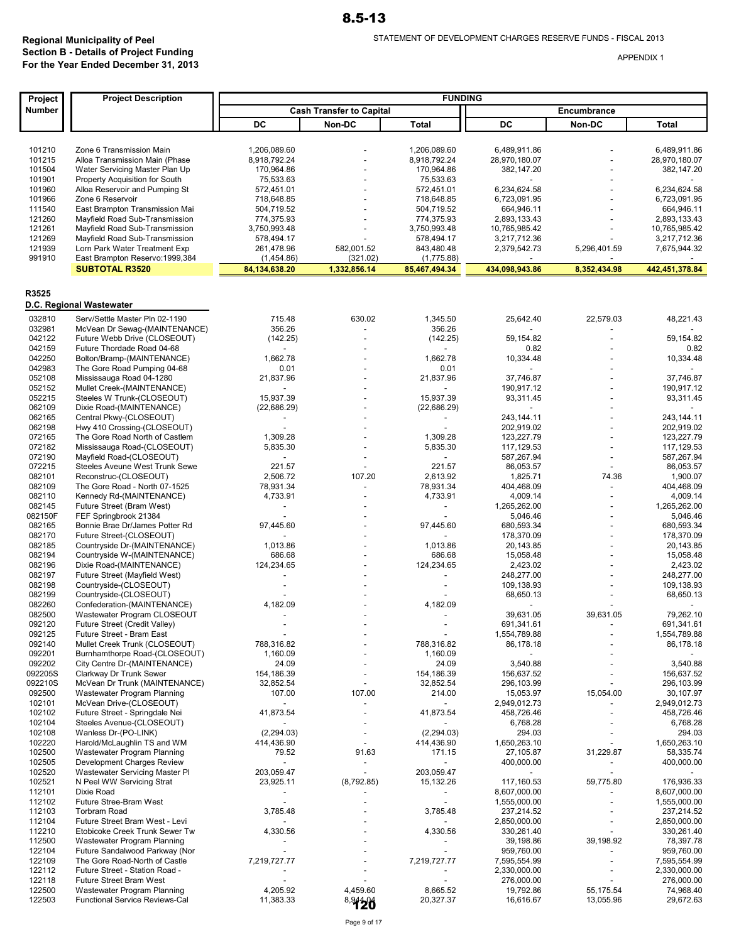| Project           | <b>Project Description</b>                                       | <b>FUNDING</b>                    |                                 |                                      |                             |                          |                                       |
|-------------------|------------------------------------------------------------------|-----------------------------------|---------------------------------|--------------------------------------|-----------------------------|--------------------------|---------------------------------------|
| Number            |                                                                  |                                   | <b>Cash Transfer to Capital</b> |                                      |                             | Encumbrance              |                                       |
|                   |                                                                  | DC                                | Non-DC                          | <b>Total</b>                         | DC                          | Non-DC                   | <b>Total</b>                          |
|                   |                                                                  |                                   |                                 |                                      |                             |                          |                                       |
| 101210            | Zone 6 Transmission Main                                         | 1,206,089.60                      |                                 | 1,206,089.60                         | 6,489,911.86                |                          | 6,489,911.86                          |
| 101215            | Alloa Transmission Main (Phase                                   | 8,918,792.24                      |                                 | 8,918,792.24                         | 28,970,180.07               |                          | 28,970,180.07                         |
| 101504            | Water Servicing Master Plan Up                                   | 170,964.86                        |                                 | 170,964.86                           | 382,147.20                  |                          | 382,147.20                            |
| 101901            | Property Acquisition for South                                   | 75,533.63                         |                                 | 75,533.63                            |                             |                          |                                       |
| 101960            | Alloa Reservoir and Pumping St                                   | 572,451.01                        |                                 | 572,451.01                           | 6,234,624.58                |                          | 6,234,624.58                          |
| 101966            | Zone 6 Reservoir                                                 | 718,648.85                        |                                 | 718,648.85                           | 6,723,091.95                |                          | 6,723,091.95                          |
| 111540<br>121260  | East Brampton Transmission Mai<br>Mayfield Road Sub-Transmission | 504,719.52<br>774,375.93          |                                 | 504,719.52<br>774,375.93             | 664,946.11<br>2,893,133.43  |                          | 664,946.11<br>2,893,133.43            |
| 121261            | Mayfield Road Sub-Transmission                                   | 3,750,993.48                      |                                 | 3,750,993.48                         | 10,765,985.42               |                          | 10,765,985.42                         |
| 121269            | Mayfield Road Sub-Transmission                                   | 578,494.17                        |                                 | 578,494.17                           | 3,217,712.36                |                          | 3,217,712.36                          |
| 121939            | Lorn Park Water Treatment Exp                                    | 261,478.96                        | 582,001.52                      | 843,480.48                           | 2,379,542.73                | 5,296,401.59             | 7,675,944.32                          |
| 991910            | East Brampton Reservo: 1999, 384                                 | (1,454.86)                        | (321.02)                        | (1,775.88)                           |                             |                          |                                       |
|                   | <b>SUBTOTAL R3520</b>                                            | 84, 134, 638. 20                  | 1,332,856.14                    | 85,467,494.34                        | 434,098,943.86              | 8,352,434.98             | 442,451,378.84                        |
|                   |                                                                  |                                   |                                 |                                      |                             |                          |                                       |
| R3525             |                                                                  |                                   |                                 |                                      |                             |                          |                                       |
|                   | D.C. Regional Wastewater                                         |                                   |                                 |                                      |                             |                          |                                       |
| 032810            | Serv/Settle Master Pln 02-1190                                   | 715.48                            | 630.02                          | 1,345.50                             | 25,642.40                   | 22,579.03                | 48,221.43                             |
| 032981            | McVean Dr Sewag-(MAINTENANCE)                                    | 356.26                            |                                 | 356.26                               |                             |                          |                                       |
| 042122            | Future Webb Drive (CLOSEOUT)                                     | (142.25)                          |                                 | (142.25)                             | 59.154.82                   |                          | 59,154.82                             |
| 042159            | Future Thordade Road 04-68                                       |                                   |                                 |                                      | 0.82                        |                          | 0.82                                  |
| 042250            | Bolton/Bramp-(MAINTENANCE)                                       | 1,662.78                          |                                 | 1,662.78                             | 10,334.48                   |                          | 10,334.48                             |
| 042983            | The Gore Road Pumping 04-68                                      | 0.01                              |                                 | 0.01                                 |                             |                          |                                       |
| 052108            | Mississauga Road 04-1280                                         | 21,837.96                         |                                 | 21,837.96                            | 37,746.87                   |                          | 37,746.87                             |
| 052152            | Mullet Creek-(MAINTENANCE)                                       |                                   |                                 |                                      | 190,917.12                  |                          | 190,917.12                            |
| 052215<br>062109  | Steeles W Trunk-(CLOSEOUT)                                       | 15,937.39<br>(22, 686.29)         |                                 | 15,937.39<br>(22,686.29)             | 93,311.45<br>$\overline{a}$ |                          | 93,311.45<br>$\overline{\phantom{a}}$ |
| 062165            | Dixie Road-(MAINTENANCE)<br>Central Pkwy-(CLOSEOUT)              |                                   |                                 |                                      | 243,144.11                  |                          | 243,144.11                            |
| 062198            | Hwy 410 Crossing-(CLOSEOUT)                                      |                                   |                                 |                                      | 202,919.02                  |                          | 202,919.02                            |
| 072165            | The Gore Road North of Castlem                                   | 1,309.28                          |                                 | 1,309.28                             | 123,227.79                  |                          | 123,227.79                            |
| 072182            | Mississauga Road-(CLOSEOUT)                                      | 5,835.30                          |                                 | 5,835.30                             | 117,129.53                  |                          | 117,129.53                            |
| 072190            | Mayfield Road-(CLOSEOUT)                                         |                                   |                                 |                                      | 587,267.94                  |                          | 587,267.94                            |
| 072215            | Steeles Aveune West Trunk Sewe                                   | 221.57                            |                                 | 221.57                               | 86,053.57                   |                          | 86,053.57                             |
| 082101            | Reconstruc-(CLOSEOUT)                                            | 2,506.72                          | 107.20                          | 2,613.92                             | 1,825.71                    | 74.36                    | 1,900.07                              |
| 082109            | The Gore Road - North 07-1525                                    | 78,931.34                         |                                 | 78,931.34                            | 404,468.09                  |                          | 404,468.09                            |
| 082110<br>082145  | Kennedy Rd-(MAINTENANCE)<br>Future Street (Bram West)            | 4,733.91                          |                                 | 4,733.91<br>$\overline{\phantom{a}}$ | 4,009.14<br>1,265,262.00    |                          | 4,009.14<br>1,265,262.00              |
| 082150F           | FEF Springbrook 21384                                            |                                   |                                 |                                      | 5,046.46                    |                          | 5,046.46                              |
| 082165            | Bonnie Brae Dr/James Potter Rd                                   | 97,445.60                         |                                 | 97,445.60                            | 680,593.34                  |                          | 680,593.34                            |
| 082170            | Future Street-(CLOSEOUT)                                         | $\overline{a}$                    |                                 | $\overline{a}$                       | 178,370.09                  |                          | 178,370.09                            |
| 082185            | Countryside Dr-(MAINTENANCE)                                     | 1,013.86                          |                                 | 1,013.86                             | 20,143.85                   |                          | 20,143.85                             |
| 082194            | Countryside W-(MAINTENANCE)                                      | 686.68                            |                                 | 686.68                               | 15,058.48                   |                          | 15,058.48                             |
| 082196            | Dixie Road-(MAINTENANCE)                                         | 124,234.65                        |                                 | 124,234.65                           | 2,423.02                    |                          | 2,423.02                              |
| 082197            | Future Street (Mayfield West)                                    |                                   |                                 |                                      | 248,277.00                  |                          | 248,277.00                            |
| 082198<br>082199  | Countryside-(CLOSEOUT)<br>Countryside-(CLOSEOUT)                 |                                   |                                 |                                      | 109,138.93<br>68,650.13     |                          | 109,138.93<br>68,650.13               |
| 082260            | Confederation-(MAINTENANCE)                                      | 4,182.09                          |                                 | 4,182.09                             |                             |                          |                                       |
| 082500            | Wastewater Program CLOSEOUT                                      | $\overline{\phantom{a}}$          |                                 | $\overline{\phantom{a}}$             | 39.631.05                   | 39,631.05                | 79,262.10                             |
| 092120            | Future Street (Credit Valley)                                    |                                   |                                 |                                      | 691,341.61                  |                          | 691,341.61                            |
| 092125            | Future Street - Bram East                                        | $\overline{\phantom{a}}$          |                                 | $\overline{a}$                       | 1,554,789.88                |                          | 1,554,789.88                          |
| 092140            | Mullet Creek Trunk (CLOSEOUT)                                    | 788,316.82                        |                                 | 788,316.82                           | 86,178.18                   |                          | 86,178.18                             |
| 092201            | Burnhamthorpe Road-(CLOSEOUT)                                    | 1,160.09                          |                                 | 1,160.09                             |                             |                          |                                       |
| 092202<br>092205S | City Centre Dr-(MAINTENANCE)                                     | 24.09<br>154,186.39               |                                 | 24.09                                | 3,540.88                    |                          | 3,540.88                              |
| 092210S           | Clarkway Dr Trunk Sewer<br>McVean Dr Trunk (MAINTENANCE)         | 32,852.54                         |                                 | 154,186.39<br>32,852.54              | 156,637.52<br>296,103.99    |                          | 156,637.52<br>296,103.99              |
| 092500            | Wastewater Program Planning                                      | 107.00                            | 107.00                          | 214.00                               | 15,053.97                   | 15,054.00                | 30,107.97                             |
| 102101            | McVean Drive-(CLOSEOUT)                                          | $\overline{\phantom{a}}$          |                                 | $\overline{\phantom{a}}$             | 2,949,012.73                |                          | 2,949,012.73                          |
| 102102            | Future Street - Springdale Nei                                   | 41,873.54                         |                                 | 41,873.54                            | 458,726.46                  |                          | 458,726.46                            |
| 102104            | Steeles Avenue-(CLOSEOUT)                                        |                                   |                                 |                                      | 6,768.28                    |                          | 6,768.28                              |
| 102108            | Wanless Dr-(PO-LINK)                                             | (2, 294.03)                       |                                 | (2, 294.03)                          | 294.03                      |                          | 294.03                                |
| 102220            | Harold/McLaughlin TS and WM                                      | 414,436.90                        |                                 | 414,436.90                           | 1,650,263.10                | $\overline{\phantom{0}}$ | 1,650,263.10                          |
| 102500<br>102505  | Wastewater Program Planning<br>Development Charges Review        | 79.52<br>$\overline{\phantom{a}}$ | 91.63                           | 171.15<br>$\overline{\phantom{a}}$   | 27,105.87<br>400,000.00     | 31,229.87                | 58,335.74<br>400,000.00               |
| 102520            | Wastewater Servicing Master PI                                   | 203,059.47                        |                                 | 203,059.47                           |                             |                          |                                       |
| 102521            | N Peel WW Servicing Strat                                        | 23,925.11                         | (8,792.85)                      | 15,132.26                            | 117,160.53                  | 59,775.80                | 176,936.33                            |
| 112101            | Dixie Road                                                       |                                   |                                 |                                      | 8,607,000.00                |                          | 8,607,000.00                          |
| 112102            | Future Stree-Bram West                                           |                                   |                                 |                                      | 1,555,000.00                | $\overline{a}$           | 1,555,000.00                          |
| 112103            | <b>Torbram Road</b>                                              | 3,785.48                          |                                 | 3,785.48                             | 237,214.52                  |                          | 237,214.52                            |
| 112104            | Future Street Bram West - Levi                                   |                                   |                                 | $\blacksquare$                       | 2,850,000.00                | $\overline{a}$           | 2,850,000.00                          |
| 112210            | Etobicoke Creek Trunk Sewer Tw                                   | 4,330.56                          |                                 | 4,330.56                             | 330,261.40                  |                          | 330,261.40                            |
| 112500<br>122104  | Wastewater Program Planning<br>Future Sandalwood Parkway (Nor    |                                   |                                 |                                      | 39,198.86<br>959,760.00     | 39,198.92                | 78,397.78<br>959,760.00               |
| 122109            | The Gore Road-North of Castle                                    | 7,219,727.77                      |                                 | 7,219,727.77                         | 7,595,554.99                | $\overline{a}$           | 7,595,554.99                          |
| 122112            | Future Street - Station Road -                                   |                                   |                                 | $\overline{\phantom{a}}$             | 2,330,000.00                |                          | 2,330,000.00                          |
| 122118            | <b>Future Street Bram West</b>                                   |                                   |                                 |                                      | 276,000.00                  |                          | 276,000.00                            |
| 122500            | Wastewater Program Planning                                      | 4,205.92                          | 4,459.60                        | 8,665.52                             | 19,792.86                   | 55,175.54                | 74,968.40                             |
| 122503            | <b>Functional Service Reviews-Cal</b>                            | 11,383.33                         | 8,9426                          | 20,327.37                            | 16,616.67                   | 13,055.96                | 29,672.63                             |
|                   |                                                                  |                                   |                                 |                                      |                             |                          |                                       |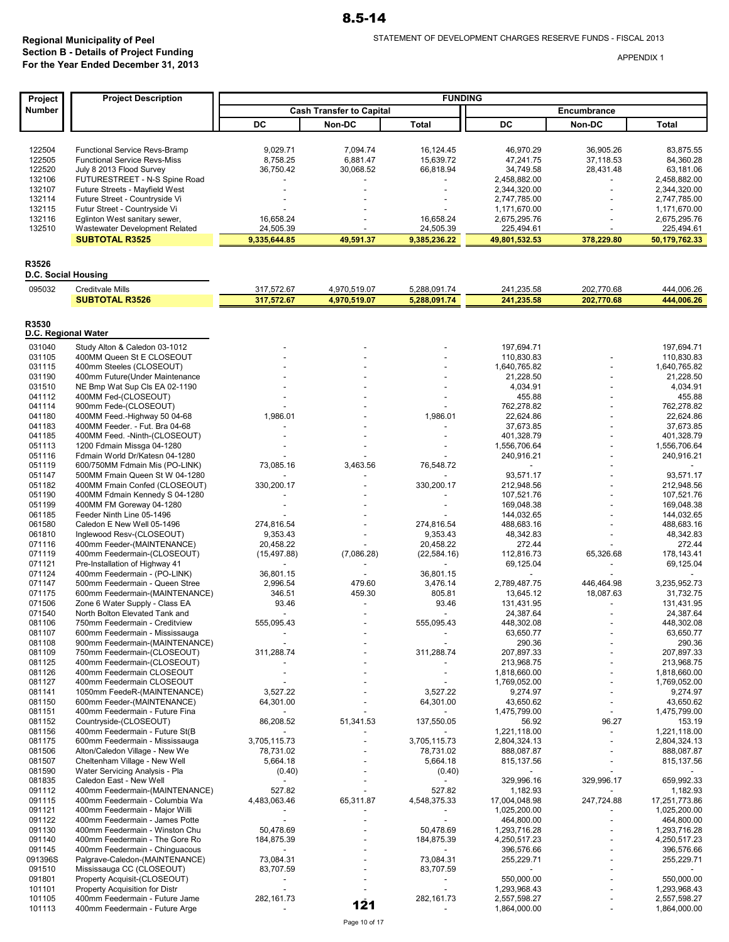|                                                                                                               | <b>FUNDING</b>                                                                                    |
|---------------------------------------------------------------------------------------------------------------|---------------------------------------------------------------------------------------------------|
| <b>Number</b><br><b>Cash Transfer to Capital</b>                                                              | Encumbrance                                                                                       |
| DC<br>Non-DC                                                                                                  | DC<br><b>Total</b><br>Non-DC<br><b>Total</b>                                                      |
|                                                                                                               |                                                                                                   |
| 122504                                                                                                        | 16,124.45                                                                                         |
| Functional Service Revs-Bramp                                                                                 | 46,970.29                                                                                         |
| 9,029.71                                                                                                      | 36,905.26                                                                                         |
| 7,094.74                                                                                                      | 83,875.55                                                                                         |
| 122505                                                                                                        | 15,639.72                                                                                         |
| <b>Functional Service Revs-Miss</b>                                                                           | 47,241.75                                                                                         |
| 8,758.25                                                                                                      | 37,118.53                                                                                         |
| 6,881.47                                                                                                      | 84.360.28                                                                                         |
| 122520                                                                                                        | 66,818.94                                                                                         |
| July 8 2013 Flood Survey                                                                                      | 34,749.58                                                                                         |
| 36,750.42                                                                                                     | 28,431.48                                                                                         |
| 30,068.52                                                                                                     | 63,181.06                                                                                         |
| 132106                                                                                                        | 2,458,882.00                                                                                      |
| FUTURESTREET - N-S Spine Road                                                                                 | 2,458,882.00                                                                                      |
| 132107                                                                                                        | 2,344,320.00                                                                                      |
| Future Streets - Mayfield West                                                                                | 2,344,320.00                                                                                      |
| 132114                                                                                                        | 2,747,785.00                                                                                      |
| Future Street - Countryside Vi                                                                                | 2,747,785.00                                                                                      |
| 132115                                                                                                        | 1,171,670.00                                                                                      |
| Futur Street - Countryside Vi                                                                                 | 1,171,670.00                                                                                      |
| 132116                                                                                                        | 16,658.24                                                                                         |
| Eglinton West sanitary sewer,                                                                                 | 2,675,295.76                                                                                      |
| 16,658.24                                                                                                     | 2,675,295.76                                                                                      |
| 132510                                                                                                        | 24,505.39                                                                                         |
| Wastewater Development Related                                                                                | 225,494.61                                                                                        |
| 24,505.39                                                                                                     | 225,494.61                                                                                        |
| <b>SUBTOTAL R3525</b><br>49,591.37<br>9,335,644.85                                                            | 9,385,236.22<br>49,801,532.53<br>378,229.80<br>50,179,762.33                                      |
|                                                                                                               |                                                                                                   |
| R3526                                                                                                         |                                                                                                   |
| D.C. Social Housing                                                                                           |                                                                                                   |
| 095032                                                                                                        | 241,235.58                                                                                        |
| <b>Creditvale Mills</b>                                                                                       | 444,006.26                                                                                        |
| 317,572.67                                                                                                    | 5,288,091.74                                                                                      |
| 4,970,519.07                                                                                                  | 202,770.68                                                                                        |
| <b>SUBTOTAL R3526</b><br>317,572.67<br>4,970,519.07                                                           | 5,288,091.74<br>241,235.58<br>202,770.68<br>444,006.26                                            |
|                                                                                                               |                                                                                                   |
| R3530                                                                                                         |                                                                                                   |
| D.C. Regional Water                                                                                           |                                                                                                   |
| 031040                                                                                                        | 197,694.71                                                                                        |
| Study Alton & Caledon 03-1012                                                                                 | 197,694.71                                                                                        |
| 031105                                                                                                        | 110,830.83                                                                                        |
| 400MM Queen St E CLOSEOUT                                                                                     | 110,830.83                                                                                        |
| 031115                                                                                                        | 1,640,765.82                                                                                      |
| 400mm Steeles (CLOSEOUT)                                                                                      | 1,640,765.82                                                                                      |
| 031190                                                                                                        | 21,228.50                                                                                         |
| 400mm Future (Under Maintenance                                                                               | 21,228.50                                                                                         |
| 031510                                                                                                        | 4,034.91                                                                                          |
| NE Bmp Wat Sup Cls EA 02-1190                                                                                 | 4,034.91                                                                                          |
| 041112                                                                                                        | 455.88                                                                                            |
| 400MM Fed-(CLOSEOUT)                                                                                          | 455.88                                                                                            |
| 041114                                                                                                        | 762,278.82                                                                                        |
| 900mm Fede-(CLOSEOUT)                                                                                         | 762,278.82                                                                                        |
| 041180                                                                                                        | 1,986.01                                                                                          |
| 400MM Feed.-Highway 50 04-68                                                                                  | 22,624.86                                                                                         |
| 1,986.01                                                                                                      | 22,624.86                                                                                         |
| 041183                                                                                                        | 37,673.85                                                                                         |
| 400MM Feeder. - Fut. Bra 04-68                                                                                | 37,673.85                                                                                         |
| 041185                                                                                                        | 401,328.79                                                                                        |
| 400MM Feed. - Ninth-(CLOSEOUT)                                                                                | 401,328.79                                                                                        |
| 051113                                                                                                        | 1,556,706.64                                                                                      |
| 1200 Fdmain Missga 04-1280                                                                                    | 1,556,706.64                                                                                      |
| 051116<br>Fdmain World Dr/Katesn 04-1280<br>3,463.56<br>051119<br>73,085.16<br>600/750MM Fdmain Mis (PO-LINK) | 240,916.21<br>240,916.21<br>76,548.72<br>$\overline{\phantom{a}}$                                 |
| 051147                                                                                                        | 93,571.17                                                                                         |
| 500MM Fmain Queen St W 04-1280                                                                                | 93,571.17                                                                                         |
| 051182                                                                                                        | 330,200.17                                                                                        |
| 330,200.17                                                                                                    | 212,948.56                                                                                        |
| 400MM Fmain Confed (CLOSEOUT)                                                                                 | 212,948.56                                                                                        |
| 051190                                                                                                        | 107,521.76                                                                                        |
| 400MM Fdmain Kennedy S 04-1280                                                                                | 107,521.76                                                                                        |
| 051199                                                                                                        | 169,048.38                                                                                        |
| 400MM FM Goreway 04-1280                                                                                      | 169,048.38                                                                                        |
| 061185                                                                                                        | 144,032.65                                                                                        |
| Feeder Ninth Line 05-1496                                                                                     | 144,032.65                                                                                        |
| 061580                                                                                                        | 274,816.54                                                                                        |
| 274,816.54                                                                                                    | 488,683.16                                                                                        |
| Caledon E New Well 05-1496                                                                                    | 488,683.16                                                                                        |
| 061810                                                                                                        | 9,353.43                                                                                          |
| Inglewood Resv-(CLOSEOUT)                                                                                     | 48,342.83                                                                                         |
| 9,353.43                                                                                                      | 48,342.83                                                                                         |
| 071116                                                                                                        | 20,458.22                                                                                         |
| 20,458.22                                                                                                     | 272.44                                                                                            |
| 400mm Feeder-(MAINTENANCE)                                                                                    | 272.44                                                                                            |
| 071119<br>400mm Feedermain-(CLOSEOUT)<br>(15, 497.88)                                                         | 112,816.73<br>178.143.41<br>(7,086.28)<br>(22, 584.16)<br>65,326.68                               |
| 071121                                                                                                        | 69,125.04                                                                                         |
| Pre-Installation of Highway 41                                                                                | 69,125.04                                                                                         |
| 071124<br>400mm Feedermain - (PO-LINK)<br>36,801.15                                                           | 36,801.15                                                                                         |
| 071147<br>500mm Feedermain - Queen Stree<br>2,996.54<br>071175<br>600mm Feedermain-(MAINTENANCE)<br>346.51    | 3,476.14<br>479.60<br>2,789,487.75<br>446,464.98<br>3,235,952.73<br>459.30<br>805.81<br>18,087.63 |
| 071506<br>Zone 6 Water Supply - Class EA<br>93.46                                                             | 13,645.12<br>31,732.75<br>93.46<br>131,431.95<br>131,431.95                                       |
| 071540                                                                                                        | 24,387.64                                                                                         |
| North Bolton Elevated Tank and                                                                                | 24,387.64                                                                                         |
| $\overline{\phantom{a}}$                                                                                      | $\overline{\phantom{a}}$                                                                          |
| 555,095.43                                                                                                    | 555,095.43                                                                                        |
| 081106                                                                                                        | 448,302.08                                                                                        |
| 750mm Feedermain - Creditview                                                                                 | 448,302.08                                                                                        |
| 081107                                                                                                        | 63,650.77                                                                                         |
| 600mm Feedermain - Mississauga                                                                                | 63,650.77                                                                                         |
| 081108                                                                                                        | 290.36                                                                                            |
| 900mm Feedermain-(MAINTENANCE)                                                                                | 290.36                                                                                            |
| 081109<br>750mm Feedermain-(CLOSEOUT)<br>311,288.74                                                           | 311,288.74<br>207,897.33<br>207,897.33<br>213,968.75                                              |
| 081125<br>400mm Feedermain-(CLOSEOUT)<br>081126<br>400mm Feedermain CLOSEOUT                                  | 213,968.75<br>1,818,660.00<br>1,818,660.00                                                        |
| 081127                                                                                                        | 1,769,052.00                                                                                      |
| 400mm Feedermain CLOSEOUT                                                                                     | 1,769,052.00                                                                                      |
| 3,527.22                                                                                                      | 3,527.22                                                                                          |
| 081141                                                                                                        | 9,274.97                                                                                          |
| 1050mm FeedeR-(MAINTENANCE)                                                                                   | 9,274.97                                                                                          |
| 081150                                                                                                        | 64,301.00                                                                                         |
| 64,301.00                                                                                                     | 43,650.62                                                                                         |
| 600mm Feeder-(MAINTENANCE)                                                                                    | 43,650.62                                                                                         |
| 081151                                                                                                        | 1,475,799.00                                                                                      |
| 400mm Feedermain - Future Fina                                                                                | 1,475,799.00                                                                                      |
| 86,208.52                                                                                                     | 137,550.05                                                                                        |
| 51,341.53                                                                                                     | 96.27                                                                                             |
| 081152                                                                                                        | 56.92                                                                                             |
| Countryside-(CLOSEOUT)                                                                                        | 153.19                                                                                            |
| 081156<br>400mm Feedermain - Future St(B<br>081175<br>600mm Feedermain - Mississauga<br>3,705,115.73          | 1,221,118.00<br>1,221,118.00<br>$\blacksquare$<br>3,705,115.73<br>2,804,324.13<br>2,804,324.13    |
| 081506                                                                                                        | 888,087.87                                                                                        |
| Alton/Caledon Village - New We                                                                                | 78,731.02                                                                                         |
| 78,731.02                                                                                                     | 888,087.87                                                                                        |
| 081507                                                                                                        | 5,664.18                                                                                          |
| Cheltenham Village - New Well                                                                                 | 815,137.56                                                                                        |
| 5,664.18                                                                                                      | 815,137.56                                                                                        |
| 081590<br>Water Servicing Analysis - Pla<br>(0.40)                                                            | (0.40)                                                                                            |
| 081835<br>Caledon East - New Well                                                                             | 329,996.16<br>329,996.17<br>659,992.33                                                            |
| 091112                                                                                                        | 527.82                                                                                            |
| 527.82                                                                                                        | 1,182.93                                                                                          |
| 400mm Feedermain-(MAINTENANCE)                                                                                | 1,182.93                                                                                          |
| 091115                                                                                                        | 247,724.88                                                                                        |
| 4,483,063.46                                                                                                  | 17,251,773.86                                                                                     |
| 400mm Feedermain - Columbia Wa                                                                                | 4,548,375.33                                                                                      |
| 65,311.87                                                                                                     | 17,004,048.98                                                                                     |
| 091121                                                                                                        | 1,025,200.00                                                                                      |
| 400mm Feedermain - Major Willi                                                                                | 1,025,200.00                                                                                      |
| 091122                                                                                                        | 464,800.00                                                                                        |
| 400mm Feedermain - James Potte                                                                                | 464,800.00                                                                                        |
| $\overline{\phantom{a}}$                                                                                      | $\overline{\phantom{a}}$                                                                          |
| 091130                                                                                                        | 50,478.69                                                                                         |
| 400mm Feedermain - Winston Chu                                                                                | 1,293,716.28                                                                                      |
| 50,478.69                                                                                                     | 1,293,716.28                                                                                      |
| 091140                                                                                                        | 184,875.39                                                                                        |
| 184,875.39                                                                                                    | 4,250,517.23                                                                                      |
| 400mm Feedermain - The Gore Ro                                                                                | 4,250,517.23                                                                                      |
| 091145                                                                                                        | 396,576.66                                                                                        |
| 400mm Feedermain - Chinguacous                                                                                | 396,576.66                                                                                        |
| 091396S                                                                                                       | 73,084.31                                                                                         |
| Palgrave-Caledon-(MAINTENANCE)                                                                                | 255,229.71                                                                                        |
| 73,084.31                                                                                                     | 255,229.71                                                                                        |
| 091510<br>Mississauga CC (CLOSEOUT)<br>83,707.59                                                              | 83,707.59                                                                                         |
| 091801<br>Property Acquisit-(CLOSEOUT)<br>Property Acquisition for Distr<br>101101                            | 550,000.00<br>550,000.00<br>1,293,968.43<br>1,293,968.43<br>$\overline{\phantom{a}}$              |
| 282,161.73                                                                                                    | 282,161.73                                                                                        |
| 101105                                                                                                        | 2,557,598.27                                                                                      |
| 400mm Feedermain - Future Jame                                                                                | 2,557,598.27                                                                                      |
| 101113<br>400mm Feedermain - Future Arge                                                                      | 121<br>1,864,000.00<br>1,864,000.00<br>$\blacksquare$                                             |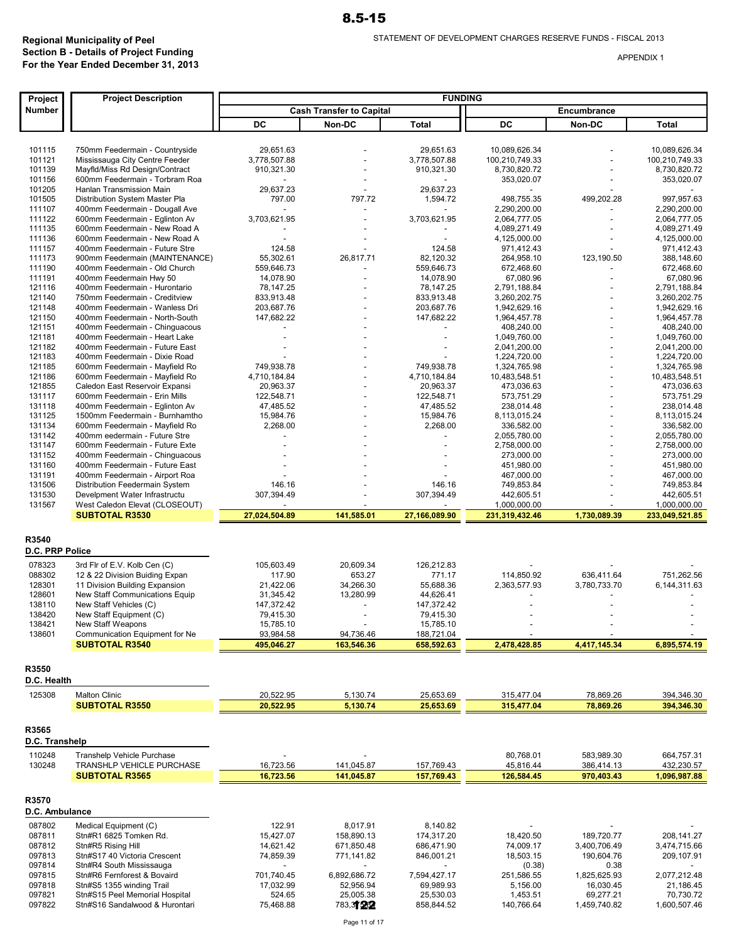| Project                  | <b>Project Description</b>                                       |                          |                                 | <b>FUNDING</b> |                              |                          |                              |
|--------------------------|------------------------------------------------------------------|--------------------------|---------------------------------|----------------|------------------------------|--------------------------|------------------------------|
| Number                   |                                                                  |                          | <b>Cash Transfer to Capital</b> |                |                              | Encumbrance              |                              |
|                          |                                                                  | DC                       | Non-DC                          | Total          | DC                           | Non-DC                   | Total                        |
|                          |                                                                  |                          |                                 |                |                              |                          |                              |
| 101115                   | 750mm Feedermain - Countryside                                   | 29,651.63                |                                 | 29,651.63      | 10,089,626.34                |                          | 10,089,626.34                |
| 101121                   | Mississauga City Centre Feeder                                   | 3,778,507.88             |                                 | 3,778,507.88   | 100,210,749.33               |                          | 100,210,749.33               |
| 101139                   | Mayfld/Miss Rd Design/Contract                                   | 910,321.30               |                                 | 910,321.30     | 8,730,820.72                 |                          | 8,730,820.72                 |
| 101156                   | 600mm Feedermain - Torbram Roa                                   | $\overline{\phantom{a}}$ |                                 |                | 353,020.07                   |                          | 353,020.07                   |
| 101205                   | Hanlan Transmission Main                                         | 29,637.23                |                                 | 29,637.23      |                              |                          |                              |
| 101505                   | Distribution System Master Pla                                   | 797.00                   | 797.72                          | 1,594.72       | 498,755.35                   | 499,202.28               | 997,957.63                   |
| 111107                   | 400mm Feedermain - Dougall Ave                                   | $\overline{a}$           |                                 | $\blacksquare$ | 2,290,200.00                 |                          | 2,290,200.00                 |
| 111122                   | 600mm Feedermain - Eglinton Av                                   | 3,703,621.95             |                                 | 3,703,621.95   | 2,064,777.05                 |                          | 2,064,777.05                 |
| 111135                   | 600mm Feedermain - New Road A<br>600mm Feedermain - New Road A   |                          |                                 |                | 4,089,271.49<br>4,125,000.00 |                          | 4,089,271.49                 |
| 111136<br>111157         | 400mm Feedermain - Future Stre                                   | 124.58                   |                                 | 124.58         | 971,412.43                   |                          | 4,125,000.00<br>971,412.43   |
| 111173                   | 900mm Feedermain (MAINTENANCE)                                   | 55,302.61                | 26,817.71                       | 82,120.32      | 264,958.10                   | 123,190.50               | 388,148.60                   |
| 111190                   | 400mm Feedermain - Old Church                                    | 559,646.73               |                                 | 559,646.73     | 672,468.60                   |                          | 672,468.60                   |
| 111191                   | 400mm Feedermain Hwy 50                                          | 14,078.90                |                                 | 14,078.90      | 67,080.96                    |                          | 67,080.96                    |
| 121116                   | 400mm Feedermain - Hurontario                                    | 78,147.25                |                                 | 78,147.25      | 2,791,188.84                 |                          | 2,791,188.84                 |
| 121140                   | 750mm Feedermain - Creditview                                    | 833,913.48               |                                 | 833,913.48     | 3,260,202.75                 |                          | 3,260,202.75                 |
| 121148                   | 400mm Feedermain - Wanless Dri                                   | 203,687.76               |                                 | 203,687.76     | 1,942,629.16                 |                          | 1,942,629.16                 |
| 121150                   | 400mm Feedermain - North-South                                   | 147,682.22               |                                 | 147,682.22     | 1,964,457.78                 |                          | 1,964,457.78                 |
| 121151                   | 400mm Feedermain - Chinguacous                                   |                          |                                 |                | 408,240.00                   |                          | 408,240.00                   |
| 121181<br>121182         | 400mm Feedermain - Heart Lake                                    |                          |                                 |                | 1,049,760.00                 |                          | 1,049,760.00                 |
| 121183                   | 400mm Feedermain - Future East<br>400mm Feedermain - Dixie Road  |                          |                                 |                | 2,041,200.00                 |                          | 2,041,200.00                 |
| 121185                   | 600mm Feedermain - Mayfield Ro                                   | 749,938.78               |                                 | 749,938.78     | 1,224,720.00<br>1,324,765.98 |                          | 1,224,720.00<br>1,324,765.98 |
| 121186                   | 600mm Feedermain - Mayfield Ro                                   | 4,710,184.84             |                                 | 4,710,184.84   | 10,483,548.51                |                          | 10,483,548.51                |
| 121855                   | Caledon East Reservoir Expansi                                   | 20,963.37                |                                 | 20,963.37      | 473,036.63                   |                          | 473,036.63                   |
| 131117                   | 600mm Feedermain - Erin Mills                                    | 122,548.71               |                                 | 122,548.71     | 573,751.29                   |                          | 573,751.29                   |
| 131118                   | 400mm Feedermain - Eglinton Av                                   | 47,485.52                |                                 | 47,485.52      | 238,014.48                   |                          | 238,014.48                   |
| 131125                   | 1500mm Feedermain - Burnhamtho                                   | 15,984.76                |                                 | 15,984.76      | 8,113,015.24                 |                          | 8,113,015.24                 |
| 131134                   | 600mm Feedermain - Mayfield Ro                                   | 2,268.00                 |                                 | 2,268.00       | 336,582.00                   |                          | 336,582.00                   |
| 131142                   | 400mm eedermain - Future Stre                                    |                          |                                 | $\overline{a}$ | 2,055,780.00                 |                          | 2,055,780.00                 |
| 131147                   | 600mm Feedermain - Future Exte                                   |                          |                                 |                | 2,758,000.00                 |                          | 2,758,000.00                 |
| 131152                   | 400mm Feedermain - Chinguacous                                   |                          |                                 |                | 273,000.00                   |                          | 273,000.00                   |
| 131160<br>131191         | 400mm Feedermain - Future East<br>400mm Feedermain - Airport Roa |                          |                                 |                | 451,980.00<br>467,000.00     |                          | 451,980.00<br>467,000.00     |
| 131506                   | Distribution Feedermain System                                   | 146.16                   |                                 | 146.16         | 749,853.84                   |                          | 749,853.84                   |
| 131530                   | Develpment Water Infrastructu                                    | 307,394.49               |                                 | 307,394.49     | 442,605.51                   |                          | 442,605.51                   |
| 131567                   | West Caledon Elevat (CLOSEOUT)                                   |                          |                                 |                | 1,000,000.00                 | $\overline{\phantom{a}}$ | 1,000,000.00                 |
|                          | <b>SUBTOTAL R3530</b>                                            | 27,024,504.89            | 141,585.01                      | 27,166,089.90  | 231,319,432.46               | 1,730,089.39             | 233,049,521.85               |
| R3540<br>D.C. PRP Police |                                                                  |                          |                                 |                |                              |                          |                              |
| 078323                   | 3rd Flr of E.V. Kolb Cen (C)                                     | 105,603.49               | 20,609.34                       | 126,212.83     |                              |                          |                              |
| 088302                   | 12 & 22 Division Buiding Expan                                   | 117.90                   | 653.27                          | 771.17         | 114,850.92                   | 636,411.64               | 751,262.56                   |
| 128301                   | 11 Division Building Expansion                                   | 21,422.06                | 34,266.30                       | 55,688.36      | 2,363,577.93                 | 3,780,733.70             | 6,144,311.63                 |
| 128601                   | New Staff Communications Equip                                   | 31,345.42                | 13,280.99                       | 44,626.41      |                              |                          |                              |
| 138110                   | New Staff Vehicles (C)                                           | 147,372.42               | $\overline{\phantom{a}}$        | 147,372.42     |                              |                          |                              |
| 138420                   | New Staff Equipment (C)                                          | 79,415.30                |                                 | 79,415.30      |                              |                          |                              |
| 138421                   | New Staff Weapons                                                | 15,785.10                |                                 | 15,785.10      |                              |                          |                              |
| 138601                   | Communication Equipment for Ne                                   | 93,984.58                | 94,736.46                       | 188,721.04     |                              |                          |                              |
|                          | <b>SUBTOTAL R3540</b>                                            | 495,046.27               | 163,546.36                      | 658,592.63     | 2,478,428.85                 | 4,417,145.34             | 6,895,574.19                 |
| R3550<br>D.C. Health     |                                                                  |                          |                                 |                |                              |                          |                              |
| 125308                   | <b>Malton Clinic</b>                                             | 20,522.95                | 5,130.74                        | 25,653.69      | 315,477.04                   | 78,869.26                | 394,346.30                   |
|                          | <b>SUBTOTAL R3550</b>                                            | 20,522.95                | 5,130.74                        | 25,653.69      | 315,477.04                   | 78,869.26                | 394,346.30                   |
| R3565<br>D.C. Transhelp  |                                                                  |                          |                                 |                |                              |                          |                              |
| 110248                   | Transhelp Vehicle Purchase                                       |                          |                                 |                | 80,768.01                    | 583,989.30               | 664,757.31                   |
| 130248                   | TRANSHLP VEHICLE PURCHASE                                        | 16,723.56                | 141,045.87                      | 157,769.43     | 45,816.44                    | 386,414.13               | 432,230.57                   |
|                          | <b>SUBTOTAL R3565</b>                                            | 16,723.56                | 141,045.87                      | 157,769.43     | 126,584.45                   | 970,403.43               | 1,096,987.88                 |
| R3570<br>D.C. Ambulance  |                                                                  |                          |                                 |                |                              |                          |                              |
| 087802                   | Medical Equipment (C)                                            | 122.91                   | 8,017.91                        | 8,140.82       |                              |                          |                              |
| 087811                   | Stn#R1 6825 Tomken Rd.                                           | 15,427.07                | 158,890.13                      | 174,317.20     | 18,420.50                    | 189,720.77               | 208, 141.27                  |
| 087812                   | Stn#R5 Rising Hill                                               | 14,621.42                | 671,850.48                      | 686,471.90     | 74,009.17                    | 3,400,706.49             | 3,474,715.66                 |
| 097813                   | Stn#S17 40 Victoria Crescent                                     | 74,859.39                | 771,141.82                      | 846,001.21     | 18,503.15                    | 190,604.76               | 209,107.91                   |
| 097814                   | Stn#R4 South Mississauga                                         |                          |                                 |                | (0.38)                       | 0.38                     |                              |
| 097815                   | Stn#R6 Fernforest & Bovaird                                      | 701,740.45               | 6,892,686.72                    | 7,594,427.17   | 251,586.55                   | 1,825,625.93             | 2,077,212.48                 |
| 097818                   | Stn#S5 1355 winding Trail                                        | 17,032.99                | 52,956.94                       | 69,989.93      | 5,156.00                     | 16,030.45                | 21,186.45                    |
| 097821                   | Stn#S15 Peel Memorial Hospital                                   | 524.65                   | 25,005.38                       | 25,530.03      | 1,453.51                     | 69,277.21                | 70,730.72                    |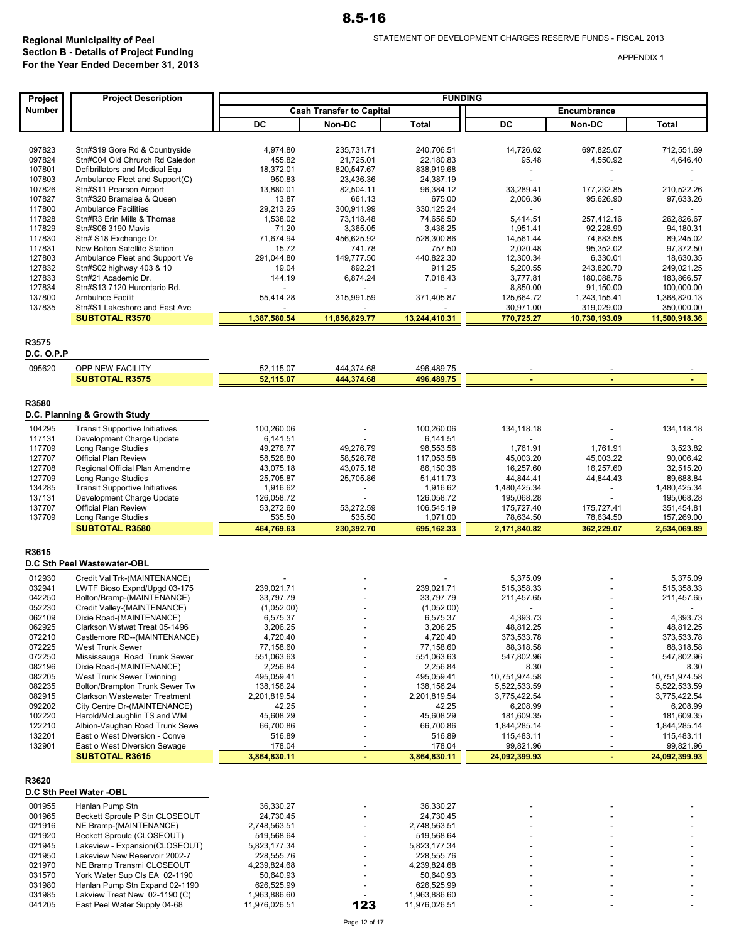| <b>FUNDING</b><br><b>Project Description</b><br>Project<br>Number<br><b>Cash Transfer to Capital</b><br>Encumbrance<br>DC<br>DC<br>Non-DC<br>Total<br>Non-DC<br>Total<br>097823<br>Stn#S19 Gore Rd & Countryside<br>4.974.80<br>235,731.71<br>240,706.51<br>14,726.62<br>697,825.07<br>712,551.69<br>097824<br>Stn#C04 Old Chrurch Rd Caledon<br>455.82<br>95.48<br>4,550.92<br>4,646.40<br>21,725.01<br>22,180.83<br>107801<br>Defibrillators and Medical Equ<br>18,372.01<br>820,547.67<br>838,919.68<br>$\overline{\phantom{a}}$<br>107803<br>Ambulance Fleet and Support(C)<br>950.83<br>23,436.36<br>24,387.19<br>107826<br>Stn#S11 Pearson Airport<br>13,880.01<br>82,504.11<br>96,384.12<br>33,289.41<br>177,232.85<br>210,522.26<br>107827<br>Stn#S20 Bramalea & Queen<br>661.13<br>675.00<br>97,633.26<br>13.87<br>2,006.36<br>95,626.90<br>117800<br><b>Ambulance Facilities</b><br>29,213.25<br>300,911.99<br>330,125.24<br>117828<br>Stn#R3 Erin Mills & Thomas<br>1,538.02<br>73,118.48<br>74,656.50<br>5,414.51<br>257,412.16<br>262,826.67<br>117829<br>Stn#S06 3190 Mavis<br>71.20<br>3,365.05<br>3,436.25<br>1,951.41<br>92,228.90<br>94,180.31<br>117830<br>71,674.94<br>Stn# S18 Exchange Dr.<br>456,625.92<br>528,300.86<br>14,561.44<br>74,683.58<br>89,245.02<br>117831<br>97,372.50<br>New Bolton Satellite Station<br>15.72<br>741.78<br>757.50<br>2,020.48<br>95,352.02<br>127803<br>Ambulance Fleet and Support Ve<br>291,044.80<br>149,777.50<br>440,822.30<br>12,300.34<br>6,330.01<br>18,630.35<br>127832<br>Stn#S02 highway 403 & 10<br>19.04<br>892.21<br>911.25<br>5,200.55<br>243,820.70<br>249,021.25<br>127833<br>Stn#21 Academic Dr.<br>144.19<br>6,874.24<br>7,018.43<br>3,777.81<br>180,088.76<br>183,866.57<br>127834<br>Stn#S13 7120 Hurontario Rd.<br>8,850.00<br>100,000.00<br>91,150.00<br>137800<br><b>Ambulnce Facilit</b><br>55,414.28<br>315,991.59<br>371,405.87<br>125,664.72<br>1,368,820.13<br>1,243,155.41<br>137835<br>350,000.00<br>Stn#S1 Lakeshore and East Ave<br>30,971.00<br>319,029.00<br><b>SUBTOTAL R3570</b><br>1,387,580.54<br>11,856,829.77<br>13,244,410.31<br>770,725.27<br>10.730.193.09<br>11,500,918.36<br>R3575<br><b>D.C. O.P.P</b><br>095620<br>OPP NEW FACILITY<br>52,115.07<br>444,374.68<br>496,489.75<br><b>SUBTOTAL R3575</b><br>52,115.07<br>444,374.68<br>496,489.75<br>R3580<br>D.C. Planning & Growth Study<br>104295<br>100,260.06<br>100,260.06<br><b>Transit Supportive Initiatives</b><br>134,118.18<br>134,118.18<br>117131<br>Development Charge Update<br>6,141.51<br>6,141.51<br>Long Range Studies<br>117709<br>49,276.77<br>49,276.79<br>98,553.56<br>1,761.91<br>1,761.91<br>3,523.82<br>127707<br><b>Official Plan Review</b><br>58,526.80<br>58,526.78<br>117,053.58<br>45,003.20<br>45,003.22<br>90,006.42<br>127708<br>Regional Official Plan Amendme<br>43,075.18<br>43,075.18<br>86,150.36<br>16,257.60<br>16,257.60<br>32,515.20<br>127709<br>Long Range Studies<br>25,705.87<br>25,705.86<br>51,411.73<br>44,844.41<br>44,844.43<br>89,688.84<br>134285<br><b>Transit Supportive Initiatives</b><br>1,480,425.34<br>1,480,425.34<br>1,916.62<br>1,916.62<br>$\overline{a}$<br>$\overline{a}$<br>137131<br>Development Charge Update<br>126,058.72<br>126,058.72<br>195,068.28<br>195,068.28<br>137707<br>Official Plan Review<br>53,272.60<br>53,272.59<br>106,545.19<br>175,727.40<br>351,454.81<br>175,727.41<br>137709<br>Long Range Studies<br>535.50<br>1,071.00<br>78,634.50<br>78,634.50<br>157,269.00<br>535.50<br><b>SUBTOTAL R3580</b><br>464,769.63<br>230,392.70<br>695,162.33<br>2,171,840.82<br>362,229.07<br>2,534,069.89<br>R3615<br>D.C Sth Peel Wastewater-OBL<br>012930<br>Credit Val Trk-(MAINTENANCE)<br>5,375.09<br>5,375.09<br>032941<br>239,021.71<br>515,358.33<br>515,358.33<br>LWTF Bioso Expnd/Upgd 03-175<br>239,021.71<br>042250<br>Bolton/Bramp-(MAINTENANCE)<br>33,797.79<br>33,797.79<br>211,457.65<br>211,457.65<br>052230<br>Credit Valley-(MAINTENANCE)<br>(1,052.00)<br>(1,052.00)<br>062109<br>Dixie Road-(MAINTENANCE)<br>6,575.37<br>4,393.73<br>4,393.73<br>6,575.37<br>062925<br>3,206.25<br>Clarkson Wstwat Treat 05-1496<br>3,206.25<br>48,812.25<br>48,812.25<br>072210<br>Castlemore RD--(MAINTENANCE)<br>4,720.40<br>4,720.40<br>373,533.78<br>373,533.78<br>072225<br>West Trunk Sewer<br>77,158.60<br>77,158.60<br>88,318.58<br>88,318.58<br>072250<br>Mississauga Road Trunk Sewer<br>551,063.63<br>551,063.63<br>547,802.96<br>547,802.96<br>082196<br>Dixie Road-(MAINTENANCE)<br>2,256.84<br>2,256.84<br>8.30<br>8.30<br>082205<br>10,751,974.58<br>10,751,974.58<br>West Trunk Sewer Twinning<br>495,059.41<br>495,059.41<br>082235<br>Bolton/Brampton Trunk Sewer Tw<br>5,522,533.59<br>5,522,533.59<br>138,156.24<br>138,156.24<br>082915<br>Clarkson Wastewater Treatment<br>2,201,819.54<br>2,201,819.54<br>3,775,422.54<br>3,775,422.54<br>092202<br>City Centre Dr-(MAINTENANCE)<br>42.25<br>6,208.99<br>42.25<br>6,208.99<br>102220<br>45,608.29<br>45,608.29<br>181,609.35<br>Harold/McLaughlin TS and WM<br>181,609.35<br>122210<br>Albion-Vaughan Road Trunk Sewe<br>66,700.86<br>66,700.86<br>1,844,285.14<br>1,844,285.14 |  |  |  |  |
|--------------------------------------------------------------------------------------------------------------------------------------------------------------------------------------------------------------------------------------------------------------------------------------------------------------------------------------------------------------------------------------------------------------------------------------------------------------------------------------------------------------------------------------------------------------------------------------------------------------------------------------------------------------------------------------------------------------------------------------------------------------------------------------------------------------------------------------------------------------------------------------------------------------------------------------------------------------------------------------------------------------------------------------------------------------------------------------------------------------------------------------------------------------------------------------------------------------------------------------------------------------------------------------------------------------------------------------------------------------------------------------------------------------------------------------------------------------------------------------------------------------------------------------------------------------------------------------------------------------------------------------------------------------------------------------------------------------------------------------------------------------------------------------------------------------------------------------------------------------------------------------------------------------------------------------------------------------------------------------------------------------------------------------------------------------------------------------------------------------------------------------------------------------------------------------------------------------------------------------------------------------------------------------------------------------------------------------------------------------------------------------------------------------------------------------------------------------------------------------------------------------------------------------------------------------------------------------------------------------------------------------------------------------------------------------------------------------------------------------------------------------------------------------------------------------------------------------------------------------------------------------------------------------------------------------------------------------------------------------------------------------------------------------------------------------------------------------------------------------------------------------------------------------------------------------------------------------------------------------------------------------------------------------------------------------------------------------------------------------------------------------------------------------------------------------------------------------------------------------------------------------------------------------------------------------------------------------------------------------------------------------------------------------------------------------------------------------------------------------------------------------------------------------------------------------------------------------------------------------------------------------------------------------------------------------------------------------------------------------------------------------------------------------------------------------------------------------------------------------------------------------------------------------------------------------------------------------------------------------------------------------------------------------------------------------------------------------------------------------------------------------------------------------------------------------------------------------------------------------------------------------------------------------------------------------------------------------------------------------------------------------------------------------------------------------------------------------------------------------------------------------------------------------------------------------------------------------------------------------------------------------------------------------------------------------------------------------------------------------------------------------------------------------------------------------------------------------------------------------------------------------------------------------------------------------------------|--|--|--|--|
|                                                                                                                                                                                                                                                                                                                                                                                                                                                                                                                                                                                                                                                                                                                                                                                                                                                                                                                                                                                                                                                                                                                                                                                                                                                                                                                                                                                                                                                                                                                                                                                                                                                                                                                                                                                                                                                                                                                                                                                                                                                                                                                                                                                                                                                                                                                                                                                                                                                                                                                                                                                                                                                                                                                                                                                                                                                                                                                                                                                                                                                                                                                                                                                                                                                                                                                                                                                                                                                                                                                                                                                                                                                                                                                                                                                                                                                                                                                                                                                                                                                                                                                                                                                                                                                                                                                                                                                                                                                                                                                                                                                                                                                                                                                                                                                                                                                                                                                                                                                                                                                                                                                                                                                                  |  |  |  |  |
|                                                                                                                                                                                                                                                                                                                                                                                                                                                                                                                                                                                                                                                                                                                                                                                                                                                                                                                                                                                                                                                                                                                                                                                                                                                                                                                                                                                                                                                                                                                                                                                                                                                                                                                                                                                                                                                                                                                                                                                                                                                                                                                                                                                                                                                                                                                                                                                                                                                                                                                                                                                                                                                                                                                                                                                                                                                                                                                                                                                                                                                                                                                                                                                                                                                                                                                                                                                                                                                                                                                                                                                                                                                                                                                                                                                                                                                                                                                                                                                                                                                                                                                                                                                                                                                                                                                                                                                                                                                                                                                                                                                                                                                                                                                                                                                                                                                                                                                                                                                                                                                                                                                                                                                                  |  |  |  |  |
|                                                                                                                                                                                                                                                                                                                                                                                                                                                                                                                                                                                                                                                                                                                                                                                                                                                                                                                                                                                                                                                                                                                                                                                                                                                                                                                                                                                                                                                                                                                                                                                                                                                                                                                                                                                                                                                                                                                                                                                                                                                                                                                                                                                                                                                                                                                                                                                                                                                                                                                                                                                                                                                                                                                                                                                                                                                                                                                                                                                                                                                                                                                                                                                                                                                                                                                                                                                                                                                                                                                                                                                                                                                                                                                                                                                                                                                                                                                                                                                                                                                                                                                                                                                                                                                                                                                                                                                                                                                                                                                                                                                                                                                                                                                                                                                                                                                                                                                                                                                                                                                                                                                                                                                                  |  |  |  |  |
|                                                                                                                                                                                                                                                                                                                                                                                                                                                                                                                                                                                                                                                                                                                                                                                                                                                                                                                                                                                                                                                                                                                                                                                                                                                                                                                                                                                                                                                                                                                                                                                                                                                                                                                                                                                                                                                                                                                                                                                                                                                                                                                                                                                                                                                                                                                                                                                                                                                                                                                                                                                                                                                                                                                                                                                                                                                                                                                                                                                                                                                                                                                                                                                                                                                                                                                                                                                                                                                                                                                                                                                                                                                                                                                                                                                                                                                                                                                                                                                                                                                                                                                                                                                                                                                                                                                                                                                                                                                                                                                                                                                                                                                                                                                                                                                                                                                                                                                                                                                                                                                                                                                                                                                                  |  |  |  |  |
|                                                                                                                                                                                                                                                                                                                                                                                                                                                                                                                                                                                                                                                                                                                                                                                                                                                                                                                                                                                                                                                                                                                                                                                                                                                                                                                                                                                                                                                                                                                                                                                                                                                                                                                                                                                                                                                                                                                                                                                                                                                                                                                                                                                                                                                                                                                                                                                                                                                                                                                                                                                                                                                                                                                                                                                                                                                                                                                                                                                                                                                                                                                                                                                                                                                                                                                                                                                                                                                                                                                                                                                                                                                                                                                                                                                                                                                                                                                                                                                                                                                                                                                                                                                                                                                                                                                                                                                                                                                                                                                                                                                                                                                                                                                                                                                                                                                                                                                                                                                                                                                                                                                                                                                                  |  |  |  |  |
|                                                                                                                                                                                                                                                                                                                                                                                                                                                                                                                                                                                                                                                                                                                                                                                                                                                                                                                                                                                                                                                                                                                                                                                                                                                                                                                                                                                                                                                                                                                                                                                                                                                                                                                                                                                                                                                                                                                                                                                                                                                                                                                                                                                                                                                                                                                                                                                                                                                                                                                                                                                                                                                                                                                                                                                                                                                                                                                                                                                                                                                                                                                                                                                                                                                                                                                                                                                                                                                                                                                                                                                                                                                                                                                                                                                                                                                                                                                                                                                                                                                                                                                                                                                                                                                                                                                                                                                                                                                                                                                                                                                                                                                                                                                                                                                                                                                                                                                                                                                                                                                                                                                                                                                                  |  |  |  |  |
|                                                                                                                                                                                                                                                                                                                                                                                                                                                                                                                                                                                                                                                                                                                                                                                                                                                                                                                                                                                                                                                                                                                                                                                                                                                                                                                                                                                                                                                                                                                                                                                                                                                                                                                                                                                                                                                                                                                                                                                                                                                                                                                                                                                                                                                                                                                                                                                                                                                                                                                                                                                                                                                                                                                                                                                                                                                                                                                                                                                                                                                                                                                                                                                                                                                                                                                                                                                                                                                                                                                                                                                                                                                                                                                                                                                                                                                                                                                                                                                                                                                                                                                                                                                                                                                                                                                                                                                                                                                                                                                                                                                                                                                                                                                                                                                                                                                                                                                                                                                                                                                                                                                                                                                                  |  |  |  |  |
|                                                                                                                                                                                                                                                                                                                                                                                                                                                                                                                                                                                                                                                                                                                                                                                                                                                                                                                                                                                                                                                                                                                                                                                                                                                                                                                                                                                                                                                                                                                                                                                                                                                                                                                                                                                                                                                                                                                                                                                                                                                                                                                                                                                                                                                                                                                                                                                                                                                                                                                                                                                                                                                                                                                                                                                                                                                                                                                                                                                                                                                                                                                                                                                                                                                                                                                                                                                                                                                                                                                                                                                                                                                                                                                                                                                                                                                                                                                                                                                                                                                                                                                                                                                                                                                                                                                                                                                                                                                                                                                                                                                                                                                                                                                                                                                                                                                                                                                                                                                                                                                                                                                                                                                                  |  |  |  |  |
|                                                                                                                                                                                                                                                                                                                                                                                                                                                                                                                                                                                                                                                                                                                                                                                                                                                                                                                                                                                                                                                                                                                                                                                                                                                                                                                                                                                                                                                                                                                                                                                                                                                                                                                                                                                                                                                                                                                                                                                                                                                                                                                                                                                                                                                                                                                                                                                                                                                                                                                                                                                                                                                                                                                                                                                                                                                                                                                                                                                                                                                                                                                                                                                                                                                                                                                                                                                                                                                                                                                                                                                                                                                                                                                                                                                                                                                                                                                                                                                                                                                                                                                                                                                                                                                                                                                                                                                                                                                                                                                                                                                                                                                                                                                                                                                                                                                                                                                                                                                                                                                                                                                                                                                                  |  |  |  |  |
|                                                                                                                                                                                                                                                                                                                                                                                                                                                                                                                                                                                                                                                                                                                                                                                                                                                                                                                                                                                                                                                                                                                                                                                                                                                                                                                                                                                                                                                                                                                                                                                                                                                                                                                                                                                                                                                                                                                                                                                                                                                                                                                                                                                                                                                                                                                                                                                                                                                                                                                                                                                                                                                                                                                                                                                                                                                                                                                                                                                                                                                                                                                                                                                                                                                                                                                                                                                                                                                                                                                                                                                                                                                                                                                                                                                                                                                                                                                                                                                                                                                                                                                                                                                                                                                                                                                                                                                                                                                                                                                                                                                                                                                                                                                                                                                                                                                                                                                                                                                                                                                                                                                                                                                                  |  |  |  |  |
|                                                                                                                                                                                                                                                                                                                                                                                                                                                                                                                                                                                                                                                                                                                                                                                                                                                                                                                                                                                                                                                                                                                                                                                                                                                                                                                                                                                                                                                                                                                                                                                                                                                                                                                                                                                                                                                                                                                                                                                                                                                                                                                                                                                                                                                                                                                                                                                                                                                                                                                                                                                                                                                                                                                                                                                                                                                                                                                                                                                                                                                                                                                                                                                                                                                                                                                                                                                                                                                                                                                                                                                                                                                                                                                                                                                                                                                                                                                                                                                                                                                                                                                                                                                                                                                                                                                                                                                                                                                                                                                                                                                                                                                                                                                                                                                                                                                                                                                                                                                                                                                                                                                                                                                                  |  |  |  |  |
|                                                                                                                                                                                                                                                                                                                                                                                                                                                                                                                                                                                                                                                                                                                                                                                                                                                                                                                                                                                                                                                                                                                                                                                                                                                                                                                                                                                                                                                                                                                                                                                                                                                                                                                                                                                                                                                                                                                                                                                                                                                                                                                                                                                                                                                                                                                                                                                                                                                                                                                                                                                                                                                                                                                                                                                                                                                                                                                                                                                                                                                                                                                                                                                                                                                                                                                                                                                                                                                                                                                                                                                                                                                                                                                                                                                                                                                                                                                                                                                                                                                                                                                                                                                                                                                                                                                                                                                                                                                                                                                                                                                                                                                                                                                                                                                                                                                                                                                                                                                                                                                                                                                                                                                                  |  |  |  |  |
|                                                                                                                                                                                                                                                                                                                                                                                                                                                                                                                                                                                                                                                                                                                                                                                                                                                                                                                                                                                                                                                                                                                                                                                                                                                                                                                                                                                                                                                                                                                                                                                                                                                                                                                                                                                                                                                                                                                                                                                                                                                                                                                                                                                                                                                                                                                                                                                                                                                                                                                                                                                                                                                                                                                                                                                                                                                                                                                                                                                                                                                                                                                                                                                                                                                                                                                                                                                                                                                                                                                                                                                                                                                                                                                                                                                                                                                                                                                                                                                                                                                                                                                                                                                                                                                                                                                                                                                                                                                                                                                                                                                                                                                                                                                                                                                                                                                                                                                                                                                                                                                                                                                                                                                                  |  |  |  |  |
|                                                                                                                                                                                                                                                                                                                                                                                                                                                                                                                                                                                                                                                                                                                                                                                                                                                                                                                                                                                                                                                                                                                                                                                                                                                                                                                                                                                                                                                                                                                                                                                                                                                                                                                                                                                                                                                                                                                                                                                                                                                                                                                                                                                                                                                                                                                                                                                                                                                                                                                                                                                                                                                                                                                                                                                                                                                                                                                                                                                                                                                                                                                                                                                                                                                                                                                                                                                                                                                                                                                                                                                                                                                                                                                                                                                                                                                                                                                                                                                                                                                                                                                                                                                                                                                                                                                                                                                                                                                                                                                                                                                                                                                                                                                                                                                                                                                                                                                                                                                                                                                                                                                                                                                                  |  |  |  |  |
|                                                                                                                                                                                                                                                                                                                                                                                                                                                                                                                                                                                                                                                                                                                                                                                                                                                                                                                                                                                                                                                                                                                                                                                                                                                                                                                                                                                                                                                                                                                                                                                                                                                                                                                                                                                                                                                                                                                                                                                                                                                                                                                                                                                                                                                                                                                                                                                                                                                                                                                                                                                                                                                                                                                                                                                                                                                                                                                                                                                                                                                                                                                                                                                                                                                                                                                                                                                                                                                                                                                                                                                                                                                                                                                                                                                                                                                                                                                                                                                                                                                                                                                                                                                                                                                                                                                                                                                                                                                                                                                                                                                                                                                                                                                                                                                                                                                                                                                                                                                                                                                                                                                                                                                                  |  |  |  |  |
|                                                                                                                                                                                                                                                                                                                                                                                                                                                                                                                                                                                                                                                                                                                                                                                                                                                                                                                                                                                                                                                                                                                                                                                                                                                                                                                                                                                                                                                                                                                                                                                                                                                                                                                                                                                                                                                                                                                                                                                                                                                                                                                                                                                                                                                                                                                                                                                                                                                                                                                                                                                                                                                                                                                                                                                                                                                                                                                                                                                                                                                                                                                                                                                                                                                                                                                                                                                                                                                                                                                                                                                                                                                                                                                                                                                                                                                                                                                                                                                                                                                                                                                                                                                                                                                                                                                                                                                                                                                                                                                                                                                                                                                                                                                                                                                                                                                                                                                                                                                                                                                                                                                                                                                                  |  |  |  |  |
|                                                                                                                                                                                                                                                                                                                                                                                                                                                                                                                                                                                                                                                                                                                                                                                                                                                                                                                                                                                                                                                                                                                                                                                                                                                                                                                                                                                                                                                                                                                                                                                                                                                                                                                                                                                                                                                                                                                                                                                                                                                                                                                                                                                                                                                                                                                                                                                                                                                                                                                                                                                                                                                                                                                                                                                                                                                                                                                                                                                                                                                                                                                                                                                                                                                                                                                                                                                                                                                                                                                                                                                                                                                                                                                                                                                                                                                                                                                                                                                                                                                                                                                                                                                                                                                                                                                                                                                                                                                                                                                                                                                                                                                                                                                                                                                                                                                                                                                                                                                                                                                                                                                                                                                                  |  |  |  |  |
|                                                                                                                                                                                                                                                                                                                                                                                                                                                                                                                                                                                                                                                                                                                                                                                                                                                                                                                                                                                                                                                                                                                                                                                                                                                                                                                                                                                                                                                                                                                                                                                                                                                                                                                                                                                                                                                                                                                                                                                                                                                                                                                                                                                                                                                                                                                                                                                                                                                                                                                                                                                                                                                                                                                                                                                                                                                                                                                                                                                                                                                                                                                                                                                                                                                                                                                                                                                                                                                                                                                                                                                                                                                                                                                                                                                                                                                                                                                                                                                                                                                                                                                                                                                                                                                                                                                                                                                                                                                                                                                                                                                                                                                                                                                                                                                                                                                                                                                                                                                                                                                                                                                                                                                                  |  |  |  |  |
|                                                                                                                                                                                                                                                                                                                                                                                                                                                                                                                                                                                                                                                                                                                                                                                                                                                                                                                                                                                                                                                                                                                                                                                                                                                                                                                                                                                                                                                                                                                                                                                                                                                                                                                                                                                                                                                                                                                                                                                                                                                                                                                                                                                                                                                                                                                                                                                                                                                                                                                                                                                                                                                                                                                                                                                                                                                                                                                                                                                                                                                                                                                                                                                                                                                                                                                                                                                                                                                                                                                                                                                                                                                                                                                                                                                                                                                                                                                                                                                                                                                                                                                                                                                                                                                                                                                                                                                                                                                                                                                                                                                                                                                                                                                                                                                                                                                                                                                                                                                                                                                                                                                                                                                                  |  |  |  |  |
|                                                                                                                                                                                                                                                                                                                                                                                                                                                                                                                                                                                                                                                                                                                                                                                                                                                                                                                                                                                                                                                                                                                                                                                                                                                                                                                                                                                                                                                                                                                                                                                                                                                                                                                                                                                                                                                                                                                                                                                                                                                                                                                                                                                                                                                                                                                                                                                                                                                                                                                                                                                                                                                                                                                                                                                                                                                                                                                                                                                                                                                                                                                                                                                                                                                                                                                                                                                                                                                                                                                                                                                                                                                                                                                                                                                                                                                                                                                                                                                                                                                                                                                                                                                                                                                                                                                                                                                                                                                                                                                                                                                                                                                                                                                                                                                                                                                                                                                                                                                                                                                                                                                                                                                                  |  |  |  |  |
|                                                                                                                                                                                                                                                                                                                                                                                                                                                                                                                                                                                                                                                                                                                                                                                                                                                                                                                                                                                                                                                                                                                                                                                                                                                                                                                                                                                                                                                                                                                                                                                                                                                                                                                                                                                                                                                                                                                                                                                                                                                                                                                                                                                                                                                                                                                                                                                                                                                                                                                                                                                                                                                                                                                                                                                                                                                                                                                                                                                                                                                                                                                                                                                                                                                                                                                                                                                                                                                                                                                                                                                                                                                                                                                                                                                                                                                                                                                                                                                                                                                                                                                                                                                                                                                                                                                                                                                                                                                                                                                                                                                                                                                                                                                                                                                                                                                                                                                                                                                                                                                                                                                                                                                                  |  |  |  |  |
|                                                                                                                                                                                                                                                                                                                                                                                                                                                                                                                                                                                                                                                                                                                                                                                                                                                                                                                                                                                                                                                                                                                                                                                                                                                                                                                                                                                                                                                                                                                                                                                                                                                                                                                                                                                                                                                                                                                                                                                                                                                                                                                                                                                                                                                                                                                                                                                                                                                                                                                                                                                                                                                                                                                                                                                                                                                                                                                                                                                                                                                                                                                                                                                                                                                                                                                                                                                                                                                                                                                                                                                                                                                                                                                                                                                                                                                                                                                                                                                                                                                                                                                                                                                                                                                                                                                                                                                                                                                                                                                                                                                                                                                                                                                                                                                                                                                                                                                                                                                                                                                                                                                                                                                                  |  |  |  |  |
|                                                                                                                                                                                                                                                                                                                                                                                                                                                                                                                                                                                                                                                                                                                                                                                                                                                                                                                                                                                                                                                                                                                                                                                                                                                                                                                                                                                                                                                                                                                                                                                                                                                                                                                                                                                                                                                                                                                                                                                                                                                                                                                                                                                                                                                                                                                                                                                                                                                                                                                                                                                                                                                                                                                                                                                                                                                                                                                                                                                                                                                                                                                                                                                                                                                                                                                                                                                                                                                                                                                                                                                                                                                                                                                                                                                                                                                                                                                                                                                                                                                                                                                                                                                                                                                                                                                                                                                                                                                                                                                                                                                                                                                                                                                                                                                                                                                                                                                                                                                                                                                                                                                                                                                                  |  |  |  |  |
|                                                                                                                                                                                                                                                                                                                                                                                                                                                                                                                                                                                                                                                                                                                                                                                                                                                                                                                                                                                                                                                                                                                                                                                                                                                                                                                                                                                                                                                                                                                                                                                                                                                                                                                                                                                                                                                                                                                                                                                                                                                                                                                                                                                                                                                                                                                                                                                                                                                                                                                                                                                                                                                                                                                                                                                                                                                                                                                                                                                                                                                                                                                                                                                                                                                                                                                                                                                                                                                                                                                                                                                                                                                                                                                                                                                                                                                                                                                                                                                                                                                                                                                                                                                                                                                                                                                                                                                                                                                                                                                                                                                                                                                                                                                                                                                                                                                                                                                                                                                                                                                                                                                                                                                                  |  |  |  |  |
|                                                                                                                                                                                                                                                                                                                                                                                                                                                                                                                                                                                                                                                                                                                                                                                                                                                                                                                                                                                                                                                                                                                                                                                                                                                                                                                                                                                                                                                                                                                                                                                                                                                                                                                                                                                                                                                                                                                                                                                                                                                                                                                                                                                                                                                                                                                                                                                                                                                                                                                                                                                                                                                                                                                                                                                                                                                                                                                                                                                                                                                                                                                                                                                                                                                                                                                                                                                                                                                                                                                                                                                                                                                                                                                                                                                                                                                                                                                                                                                                                                                                                                                                                                                                                                                                                                                                                                                                                                                                                                                                                                                                                                                                                                                                                                                                                                                                                                                                                                                                                                                                                                                                                                                                  |  |  |  |  |
|                                                                                                                                                                                                                                                                                                                                                                                                                                                                                                                                                                                                                                                                                                                                                                                                                                                                                                                                                                                                                                                                                                                                                                                                                                                                                                                                                                                                                                                                                                                                                                                                                                                                                                                                                                                                                                                                                                                                                                                                                                                                                                                                                                                                                                                                                                                                                                                                                                                                                                                                                                                                                                                                                                                                                                                                                                                                                                                                                                                                                                                                                                                                                                                                                                                                                                                                                                                                                                                                                                                                                                                                                                                                                                                                                                                                                                                                                                                                                                                                                                                                                                                                                                                                                                                                                                                                                                                                                                                                                                                                                                                                                                                                                                                                                                                                                                                                                                                                                                                                                                                                                                                                                                                                  |  |  |  |  |
|                                                                                                                                                                                                                                                                                                                                                                                                                                                                                                                                                                                                                                                                                                                                                                                                                                                                                                                                                                                                                                                                                                                                                                                                                                                                                                                                                                                                                                                                                                                                                                                                                                                                                                                                                                                                                                                                                                                                                                                                                                                                                                                                                                                                                                                                                                                                                                                                                                                                                                                                                                                                                                                                                                                                                                                                                                                                                                                                                                                                                                                                                                                                                                                                                                                                                                                                                                                                                                                                                                                                                                                                                                                                                                                                                                                                                                                                                                                                                                                                                                                                                                                                                                                                                                                                                                                                                                                                                                                                                                                                                                                                                                                                                                                                                                                                                                                                                                                                                                                                                                                                                                                                                                                                  |  |  |  |  |
|                                                                                                                                                                                                                                                                                                                                                                                                                                                                                                                                                                                                                                                                                                                                                                                                                                                                                                                                                                                                                                                                                                                                                                                                                                                                                                                                                                                                                                                                                                                                                                                                                                                                                                                                                                                                                                                                                                                                                                                                                                                                                                                                                                                                                                                                                                                                                                                                                                                                                                                                                                                                                                                                                                                                                                                                                                                                                                                                                                                                                                                                                                                                                                                                                                                                                                                                                                                                                                                                                                                                                                                                                                                                                                                                                                                                                                                                                                                                                                                                                                                                                                                                                                                                                                                                                                                                                                                                                                                                                                                                                                                                                                                                                                                                                                                                                                                                                                                                                                                                                                                                                                                                                                                                  |  |  |  |  |
|                                                                                                                                                                                                                                                                                                                                                                                                                                                                                                                                                                                                                                                                                                                                                                                                                                                                                                                                                                                                                                                                                                                                                                                                                                                                                                                                                                                                                                                                                                                                                                                                                                                                                                                                                                                                                                                                                                                                                                                                                                                                                                                                                                                                                                                                                                                                                                                                                                                                                                                                                                                                                                                                                                                                                                                                                                                                                                                                                                                                                                                                                                                                                                                                                                                                                                                                                                                                                                                                                                                                                                                                                                                                                                                                                                                                                                                                                                                                                                                                                                                                                                                                                                                                                                                                                                                                                                                                                                                                                                                                                                                                                                                                                                                                                                                                                                                                                                                                                                                                                                                                                                                                                                                                  |  |  |  |  |
|                                                                                                                                                                                                                                                                                                                                                                                                                                                                                                                                                                                                                                                                                                                                                                                                                                                                                                                                                                                                                                                                                                                                                                                                                                                                                                                                                                                                                                                                                                                                                                                                                                                                                                                                                                                                                                                                                                                                                                                                                                                                                                                                                                                                                                                                                                                                                                                                                                                                                                                                                                                                                                                                                                                                                                                                                                                                                                                                                                                                                                                                                                                                                                                                                                                                                                                                                                                                                                                                                                                                                                                                                                                                                                                                                                                                                                                                                                                                                                                                                                                                                                                                                                                                                                                                                                                                                                                                                                                                                                                                                                                                                                                                                                                                                                                                                                                                                                                                                                                                                                                                                                                                                                                                  |  |  |  |  |
|                                                                                                                                                                                                                                                                                                                                                                                                                                                                                                                                                                                                                                                                                                                                                                                                                                                                                                                                                                                                                                                                                                                                                                                                                                                                                                                                                                                                                                                                                                                                                                                                                                                                                                                                                                                                                                                                                                                                                                                                                                                                                                                                                                                                                                                                                                                                                                                                                                                                                                                                                                                                                                                                                                                                                                                                                                                                                                                                                                                                                                                                                                                                                                                                                                                                                                                                                                                                                                                                                                                                                                                                                                                                                                                                                                                                                                                                                                                                                                                                                                                                                                                                                                                                                                                                                                                                                                                                                                                                                                                                                                                                                                                                                                                                                                                                                                                                                                                                                                                                                                                                                                                                                                                                  |  |  |  |  |
|                                                                                                                                                                                                                                                                                                                                                                                                                                                                                                                                                                                                                                                                                                                                                                                                                                                                                                                                                                                                                                                                                                                                                                                                                                                                                                                                                                                                                                                                                                                                                                                                                                                                                                                                                                                                                                                                                                                                                                                                                                                                                                                                                                                                                                                                                                                                                                                                                                                                                                                                                                                                                                                                                                                                                                                                                                                                                                                                                                                                                                                                                                                                                                                                                                                                                                                                                                                                                                                                                                                                                                                                                                                                                                                                                                                                                                                                                                                                                                                                                                                                                                                                                                                                                                                                                                                                                                                                                                                                                                                                                                                                                                                                                                                                                                                                                                                                                                                                                                                                                                                                                                                                                                                                  |  |  |  |  |
|                                                                                                                                                                                                                                                                                                                                                                                                                                                                                                                                                                                                                                                                                                                                                                                                                                                                                                                                                                                                                                                                                                                                                                                                                                                                                                                                                                                                                                                                                                                                                                                                                                                                                                                                                                                                                                                                                                                                                                                                                                                                                                                                                                                                                                                                                                                                                                                                                                                                                                                                                                                                                                                                                                                                                                                                                                                                                                                                                                                                                                                                                                                                                                                                                                                                                                                                                                                                                                                                                                                                                                                                                                                                                                                                                                                                                                                                                                                                                                                                                                                                                                                                                                                                                                                                                                                                                                                                                                                                                                                                                                                                                                                                                                                                                                                                                                                                                                                                                                                                                                                                                                                                                                                                  |  |  |  |  |
|                                                                                                                                                                                                                                                                                                                                                                                                                                                                                                                                                                                                                                                                                                                                                                                                                                                                                                                                                                                                                                                                                                                                                                                                                                                                                                                                                                                                                                                                                                                                                                                                                                                                                                                                                                                                                                                                                                                                                                                                                                                                                                                                                                                                                                                                                                                                                                                                                                                                                                                                                                                                                                                                                                                                                                                                                                                                                                                                                                                                                                                                                                                                                                                                                                                                                                                                                                                                                                                                                                                                                                                                                                                                                                                                                                                                                                                                                                                                                                                                                                                                                                                                                                                                                                                                                                                                                                                                                                                                                                                                                                                                                                                                                                                                                                                                                                                                                                                                                                                                                                                                                                                                                                                                  |  |  |  |  |
|                                                                                                                                                                                                                                                                                                                                                                                                                                                                                                                                                                                                                                                                                                                                                                                                                                                                                                                                                                                                                                                                                                                                                                                                                                                                                                                                                                                                                                                                                                                                                                                                                                                                                                                                                                                                                                                                                                                                                                                                                                                                                                                                                                                                                                                                                                                                                                                                                                                                                                                                                                                                                                                                                                                                                                                                                                                                                                                                                                                                                                                                                                                                                                                                                                                                                                                                                                                                                                                                                                                                                                                                                                                                                                                                                                                                                                                                                                                                                                                                                                                                                                                                                                                                                                                                                                                                                                                                                                                                                                                                                                                                                                                                                                                                                                                                                                                                                                                                                                                                                                                                                                                                                                                                  |  |  |  |  |
|                                                                                                                                                                                                                                                                                                                                                                                                                                                                                                                                                                                                                                                                                                                                                                                                                                                                                                                                                                                                                                                                                                                                                                                                                                                                                                                                                                                                                                                                                                                                                                                                                                                                                                                                                                                                                                                                                                                                                                                                                                                                                                                                                                                                                                                                                                                                                                                                                                                                                                                                                                                                                                                                                                                                                                                                                                                                                                                                                                                                                                                                                                                                                                                                                                                                                                                                                                                                                                                                                                                                                                                                                                                                                                                                                                                                                                                                                                                                                                                                                                                                                                                                                                                                                                                                                                                                                                                                                                                                                                                                                                                                                                                                                                                                                                                                                                                                                                                                                                                                                                                                                                                                                                                                  |  |  |  |  |
|                                                                                                                                                                                                                                                                                                                                                                                                                                                                                                                                                                                                                                                                                                                                                                                                                                                                                                                                                                                                                                                                                                                                                                                                                                                                                                                                                                                                                                                                                                                                                                                                                                                                                                                                                                                                                                                                                                                                                                                                                                                                                                                                                                                                                                                                                                                                                                                                                                                                                                                                                                                                                                                                                                                                                                                                                                                                                                                                                                                                                                                                                                                                                                                                                                                                                                                                                                                                                                                                                                                                                                                                                                                                                                                                                                                                                                                                                                                                                                                                                                                                                                                                                                                                                                                                                                                                                                                                                                                                                                                                                                                                                                                                                                                                                                                                                                                                                                                                                                                                                                                                                                                                                                                                  |  |  |  |  |
|                                                                                                                                                                                                                                                                                                                                                                                                                                                                                                                                                                                                                                                                                                                                                                                                                                                                                                                                                                                                                                                                                                                                                                                                                                                                                                                                                                                                                                                                                                                                                                                                                                                                                                                                                                                                                                                                                                                                                                                                                                                                                                                                                                                                                                                                                                                                                                                                                                                                                                                                                                                                                                                                                                                                                                                                                                                                                                                                                                                                                                                                                                                                                                                                                                                                                                                                                                                                                                                                                                                                                                                                                                                                                                                                                                                                                                                                                                                                                                                                                                                                                                                                                                                                                                                                                                                                                                                                                                                                                                                                                                                                                                                                                                                                                                                                                                                                                                                                                                                                                                                                                                                                                                                                  |  |  |  |  |
|                                                                                                                                                                                                                                                                                                                                                                                                                                                                                                                                                                                                                                                                                                                                                                                                                                                                                                                                                                                                                                                                                                                                                                                                                                                                                                                                                                                                                                                                                                                                                                                                                                                                                                                                                                                                                                                                                                                                                                                                                                                                                                                                                                                                                                                                                                                                                                                                                                                                                                                                                                                                                                                                                                                                                                                                                                                                                                                                                                                                                                                                                                                                                                                                                                                                                                                                                                                                                                                                                                                                                                                                                                                                                                                                                                                                                                                                                                                                                                                                                                                                                                                                                                                                                                                                                                                                                                                                                                                                                                                                                                                                                                                                                                                                                                                                                                                                                                                                                                                                                                                                                                                                                                                                  |  |  |  |  |
|                                                                                                                                                                                                                                                                                                                                                                                                                                                                                                                                                                                                                                                                                                                                                                                                                                                                                                                                                                                                                                                                                                                                                                                                                                                                                                                                                                                                                                                                                                                                                                                                                                                                                                                                                                                                                                                                                                                                                                                                                                                                                                                                                                                                                                                                                                                                                                                                                                                                                                                                                                                                                                                                                                                                                                                                                                                                                                                                                                                                                                                                                                                                                                                                                                                                                                                                                                                                                                                                                                                                                                                                                                                                                                                                                                                                                                                                                                                                                                                                                                                                                                                                                                                                                                                                                                                                                                                                                                                                                                                                                                                                                                                                                                                                                                                                                                                                                                                                                                                                                                                                                                                                                                                                  |  |  |  |  |
|                                                                                                                                                                                                                                                                                                                                                                                                                                                                                                                                                                                                                                                                                                                                                                                                                                                                                                                                                                                                                                                                                                                                                                                                                                                                                                                                                                                                                                                                                                                                                                                                                                                                                                                                                                                                                                                                                                                                                                                                                                                                                                                                                                                                                                                                                                                                                                                                                                                                                                                                                                                                                                                                                                                                                                                                                                                                                                                                                                                                                                                                                                                                                                                                                                                                                                                                                                                                                                                                                                                                                                                                                                                                                                                                                                                                                                                                                                                                                                                                                                                                                                                                                                                                                                                                                                                                                                                                                                                                                                                                                                                                                                                                                                                                                                                                                                                                                                                                                                                                                                                                                                                                                                                                  |  |  |  |  |
|                                                                                                                                                                                                                                                                                                                                                                                                                                                                                                                                                                                                                                                                                                                                                                                                                                                                                                                                                                                                                                                                                                                                                                                                                                                                                                                                                                                                                                                                                                                                                                                                                                                                                                                                                                                                                                                                                                                                                                                                                                                                                                                                                                                                                                                                                                                                                                                                                                                                                                                                                                                                                                                                                                                                                                                                                                                                                                                                                                                                                                                                                                                                                                                                                                                                                                                                                                                                                                                                                                                                                                                                                                                                                                                                                                                                                                                                                                                                                                                                                                                                                                                                                                                                                                                                                                                                                                                                                                                                                                                                                                                                                                                                                                                                                                                                                                                                                                                                                                                                                                                                                                                                                                                                  |  |  |  |  |
|                                                                                                                                                                                                                                                                                                                                                                                                                                                                                                                                                                                                                                                                                                                                                                                                                                                                                                                                                                                                                                                                                                                                                                                                                                                                                                                                                                                                                                                                                                                                                                                                                                                                                                                                                                                                                                                                                                                                                                                                                                                                                                                                                                                                                                                                                                                                                                                                                                                                                                                                                                                                                                                                                                                                                                                                                                                                                                                                                                                                                                                                                                                                                                                                                                                                                                                                                                                                                                                                                                                                                                                                                                                                                                                                                                                                                                                                                                                                                                                                                                                                                                                                                                                                                                                                                                                                                                                                                                                                                                                                                                                                                                                                                                                                                                                                                                                                                                                                                                                                                                                                                                                                                                                                  |  |  |  |  |
|                                                                                                                                                                                                                                                                                                                                                                                                                                                                                                                                                                                                                                                                                                                                                                                                                                                                                                                                                                                                                                                                                                                                                                                                                                                                                                                                                                                                                                                                                                                                                                                                                                                                                                                                                                                                                                                                                                                                                                                                                                                                                                                                                                                                                                                                                                                                                                                                                                                                                                                                                                                                                                                                                                                                                                                                                                                                                                                                                                                                                                                                                                                                                                                                                                                                                                                                                                                                                                                                                                                                                                                                                                                                                                                                                                                                                                                                                                                                                                                                                                                                                                                                                                                                                                                                                                                                                                                                                                                                                                                                                                                                                                                                                                                                                                                                                                                                                                                                                                                                                                                                                                                                                                                                  |  |  |  |  |
|                                                                                                                                                                                                                                                                                                                                                                                                                                                                                                                                                                                                                                                                                                                                                                                                                                                                                                                                                                                                                                                                                                                                                                                                                                                                                                                                                                                                                                                                                                                                                                                                                                                                                                                                                                                                                                                                                                                                                                                                                                                                                                                                                                                                                                                                                                                                                                                                                                                                                                                                                                                                                                                                                                                                                                                                                                                                                                                                                                                                                                                                                                                                                                                                                                                                                                                                                                                                                                                                                                                                                                                                                                                                                                                                                                                                                                                                                                                                                                                                                                                                                                                                                                                                                                                                                                                                                                                                                                                                                                                                                                                                                                                                                                                                                                                                                                                                                                                                                                                                                                                                                                                                                                                                  |  |  |  |  |
|                                                                                                                                                                                                                                                                                                                                                                                                                                                                                                                                                                                                                                                                                                                                                                                                                                                                                                                                                                                                                                                                                                                                                                                                                                                                                                                                                                                                                                                                                                                                                                                                                                                                                                                                                                                                                                                                                                                                                                                                                                                                                                                                                                                                                                                                                                                                                                                                                                                                                                                                                                                                                                                                                                                                                                                                                                                                                                                                                                                                                                                                                                                                                                                                                                                                                                                                                                                                                                                                                                                                                                                                                                                                                                                                                                                                                                                                                                                                                                                                                                                                                                                                                                                                                                                                                                                                                                                                                                                                                                                                                                                                                                                                                                                                                                                                                                                                                                                                                                                                                                                                                                                                                                                                  |  |  |  |  |
|                                                                                                                                                                                                                                                                                                                                                                                                                                                                                                                                                                                                                                                                                                                                                                                                                                                                                                                                                                                                                                                                                                                                                                                                                                                                                                                                                                                                                                                                                                                                                                                                                                                                                                                                                                                                                                                                                                                                                                                                                                                                                                                                                                                                                                                                                                                                                                                                                                                                                                                                                                                                                                                                                                                                                                                                                                                                                                                                                                                                                                                                                                                                                                                                                                                                                                                                                                                                                                                                                                                                                                                                                                                                                                                                                                                                                                                                                                                                                                                                                                                                                                                                                                                                                                                                                                                                                                                                                                                                                                                                                                                                                                                                                                                                                                                                                                                                                                                                                                                                                                                                                                                                                                                                  |  |  |  |  |
|                                                                                                                                                                                                                                                                                                                                                                                                                                                                                                                                                                                                                                                                                                                                                                                                                                                                                                                                                                                                                                                                                                                                                                                                                                                                                                                                                                                                                                                                                                                                                                                                                                                                                                                                                                                                                                                                                                                                                                                                                                                                                                                                                                                                                                                                                                                                                                                                                                                                                                                                                                                                                                                                                                                                                                                                                                                                                                                                                                                                                                                                                                                                                                                                                                                                                                                                                                                                                                                                                                                                                                                                                                                                                                                                                                                                                                                                                                                                                                                                                                                                                                                                                                                                                                                                                                                                                                                                                                                                                                                                                                                                                                                                                                                                                                                                                                                                                                                                                                                                                                                                                                                                                                                                  |  |  |  |  |
|                                                                                                                                                                                                                                                                                                                                                                                                                                                                                                                                                                                                                                                                                                                                                                                                                                                                                                                                                                                                                                                                                                                                                                                                                                                                                                                                                                                                                                                                                                                                                                                                                                                                                                                                                                                                                                                                                                                                                                                                                                                                                                                                                                                                                                                                                                                                                                                                                                                                                                                                                                                                                                                                                                                                                                                                                                                                                                                                                                                                                                                                                                                                                                                                                                                                                                                                                                                                                                                                                                                                                                                                                                                                                                                                                                                                                                                                                                                                                                                                                                                                                                                                                                                                                                                                                                                                                                                                                                                                                                                                                                                                                                                                                                                                                                                                                                                                                                                                                                                                                                                                                                                                                                                                  |  |  |  |  |
|                                                                                                                                                                                                                                                                                                                                                                                                                                                                                                                                                                                                                                                                                                                                                                                                                                                                                                                                                                                                                                                                                                                                                                                                                                                                                                                                                                                                                                                                                                                                                                                                                                                                                                                                                                                                                                                                                                                                                                                                                                                                                                                                                                                                                                                                                                                                                                                                                                                                                                                                                                                                                                                                                                                                                                                                                                                                                                                                                                                                                                                                                                                                                                                                                                                                                                                                                                                                                                                                                                                                                                                                                                                                                                                                                                                                                                                                                                                                                                                                                                                                                                                                                                                                                                                                                                                                                                                                                                                                                                                                                                                                                                                                                                                                                                                                                                                                                                                                                                                                                                                                                                                                                                                                  |  |  |  |  |
|                                                                                                                                                                                                                                                                                                                                                                                                                                                                                                                                                                                                                                                                                                                                                                                                                                                                                                                                                                                                                                                                                                                                                                                                                                                                                                                                                                                                                                                                                                                                                                                                                                                                                                                                                                                                                                                                                                                                                                                                                                                                                                                                                                                                                                                                                                                                                                                                                                                                                                                                                                                                                                                                                                                                                                                                                                                                                                                                                                                                                                                                                                                                                                                                                                                                                                                                                                                                                                                                                                                                                                                                                                                                                                                                                                                                                                                                                                                                                                                                                                                                                                                                                                                                                                                                                                                                                                                                                                                                                                                                                                                                                                                                                                                                                                                                                                                                                                                                                                                                                                                                                                                                                                                                  |  |  |  |  |
|                                                                                                                                                                                                                                                                                                                                                                                                                                                                                                                                                                                                                                                                                                                                                                                                                                                                                                                                                                                                                                                                                                                                                                                                                                                                                                                                                                                                                                                                                                                                                                                                                                                                                                                                                                                                                                                                                                                                                                                                                                                                                                                                                                                                                                                                                                                                                                                                                                                                                                                                                                                                                                                                                                                                                                                                                                                                                                                                                                                                                                                                                                                                                                                                                                                                                                                                                                                                                                                                                                                                                                                                                                                                                                                                                                                                                                                                                                                                                                                                                                                                                                                                                                                                                                                                                                                                                                                                                                                                                                                                                                                                                                                                                                                                                                                                                                                                                                                                                                                                                                                                                                                                                                                                  |  |  |  |  |
|                                                                                                                                                                                                                                                                                                                                                                                                                                                                                                                                                                                                                                                                                                                                                                                                                                                                                                                                                                                                                                                                                                                                                                                                                                                                                                                                                                                                                                                                                                                                                                                                                                                                                                                                                                                                                                                                                                                                                                                                                                                                                                                                                                                                                                                                                                                                                                                                                                                                                                                                                                                                                                                                                                                                                                                                                                                                                                                                                                                                                                                                                                                                                                                                                                                                                                                                                                                                                                                                                                                                                                                                                                                                                                                                                                                                                                                                                                                                                                                                                                                                                                                                                                                                                                                                                                                                                                                                                                                                                                                                                                                                                                                                                                                                                                                                                                                                                                                                                                                                                                                                                                                                                                                                  |  |  |  |  |
|                                                                                                                                                                                                                                                                                                                                                                                                                                                                                                                                                                                                                                                                                                                                                                                                                                                                                                                                                                                                                                                                                                                                                                                                                                                                                                                                                                                                                                                                                                                                                                                                                                                                                                                                                                                                                                                                                                                                                                                                                                                                                                                                                                                                                                                                                                                                                                                                                                                                                                                                                                                                                                                                                                                                                                                                                                                                                                                                                                                                                                                                                                                                                                                                                                                                                                                                                                                                                                                                                                                                                                                                                                                                                                                                                                                                                                                                                                                                                                                                                                                                                                                                                                                                                                                                                                                                                                                                                                                                                                                                                                                                                                                                                                                                                                                                                                                                                                                                                                                                                                                                                                                                                                                                  |  |  |  |  |
|                                                                                                                                                                                                                                                                                                                                                                                                                                                                                                                                                                                                                                                                                                                                                                                                                                                                                                                                                                                                                                                                                                                                                                                                                                                                                                                                                                                                                                                                                                                                                                                                                                                                                                                                                                                                                                                                                                                                                                                                                                                                                                                                                                                                                                                                                                                                                                                                                                                                                                                                                                                                                                                                                                                                                                                                                                                                                                                                                                                                                                                                                                                                                                                                                                                                                                                                                                                                                                                                                                                                                                                                                                                                                                                                                                                                                                                                                                                                                                                                                                                                                                                                                                                                                                                                                                                                                                                                                                                                                                                                                                                                                                                                                                                                                                                                                                                                                                                                                                                                                                                                                                                                                                                                  |  |  |  |  |
|                                                                                                                                                                                                                                                                                                                                                                                                                                                                                                                                                                                                                                                                                                                                                                                                                                                                                                                                                                                                                                                                                                                                                                                                                                                                                                                                                                                                                                                                                                                                                                                                                                                                                                                                                                                                                                                                                                                                                                                                                                                                                                                                                                                                                                                                                                                                                                                                                                                                                                                                                                                                                                                                                                                                                                                                                                                                                                                                                                                                                                                                                                                                                                                                                                                                                                                                                                                                                                                                                                                                                                                                                                                                                                                                                                                                                                                                                                                                                                                                                                                                                                                                                                                                                                                                                                                                                                                                                                                                                                                                                                                                                                                                                                                                                                                                                                                                                                                                                                                                                                                                                                                                                                                                  |  |  |  |  |

**R3620 D.C Sth Peel Water -OBL**

| 001955 | Hanlan Pump Stn                | 36.330.27     |     | 36.330.27     |  |  |
|--------|--------------------------------|---------------|-----|---------------|--|--|
| 001965 | Beckett Sproule P Stn CLOSEOUT | 24.730.45     |     | 24.730.45     |  |  |
| 021916 | NE Bramp-(MAINTENANCE)         | 2.748.563.51  |     | 2.748.563.51  |  |  |
| 021920 | Beckett Sproule (CLOSEOUT)     | 519.568.64    |     | 519.568.64    |  |  |
| 021945 | Lakeview - Expansion(CLOSEOUT) | 5.823.177.34  |     | 5.823.177.34  |  |  |
| 021950 | Lakeview New Reservoir 2002-7  | 228.555.76    |     | 228.555.76    |  |  |
| 021970 | NE Bramp Transmi CLOSEOUT      | 4.239.824.68  |     | 4.239.824.68  |  |  |
| 031570 | York Water Sup Cls EA 02-1190  | 50.640.93     |     | 50.640.93     |  |  |
| 031980 | Hanlan Pump Stn Expand 02-1190 | 626.525.99    |     | 626.525.99    |  |  |
| 031985 | Lakview Treat New 02-1190 (C)  | 1.963.886.60  |     | 1.963.886.60  |  |  |
| 041205 | East Peel Water Supply 04-68   | 11.976.026.51 | 123 | 11.976.026.51 |  |  |
|        |                                |               |     |               |  |  |

 East o West Diversion - Conve 516.89 - 516.89 115,483.11 - 115,483.11 132901 East o West Diversion Sewage 178.04 - 178.04 - 178.04 - 178.04 - 178.04 - 99,821.96 - 99,821.96 - 99,821.96<br>132901 East o West Diversion Sewage - 178.04 - 178.04 - 178.04 - 178.04 - 99,821.96 - 99,821.96 - 99,821.9

**SUBTOTAL R3615**<br>**3,864,830.11**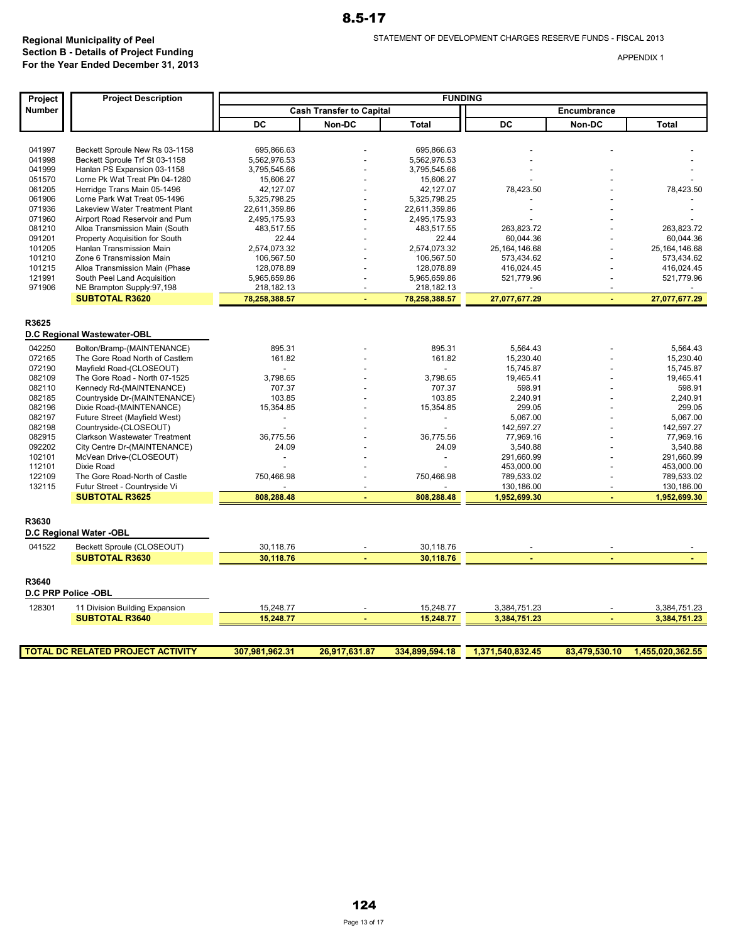| Project          | <b>Project Description</b>                                            | <b>FUNDING</b>                |                                 |                               |                          |               |                          |
|------------------|-----------------------------------------------------------------------|-------------------------------|---------------------------------|-------------------------------|--------------------------|---------------|--------------------------|
| Number           |                                                                       |                               | <b>Cash Transfer to Capital</b> |                               |                          | Encumbrance   |                          |
|                  |                                                                       | DC                            | Non-DC                          | <b>Total</b>                  | DC                       | Non-DC        | <b>Total</b>             |
|                  |                                                                       |                               |                                 |                               |                          |               |                          |
| 041997           | Beckett Sproule New Rs 03-1158                                        | 695.866.63                    |                                 | 695.866.63                    |                          |               |                          |
| 041998           | Beckett Sproule Trf St 03-1158                                        | 5,562,976.53                  |                                 | 5,562,976.53                  |                          |               |                          |
| 041999           | Hanlan PS Expansion 03-1158                                           | 3,795,545.66                  |                                 | 3,795,545.66                  |                          |               |                          |
| 051570           | Lorne Pk Wat Treat Pln 04-1280                                        | 15,606.27                     |                                 | 15,606.27                     |                          |               |                          |
| 061205           | Herridge Trans Main 05-1496                                           | 42,127.07                     |                                 | 42,127.07                     | 78,423.50                |               | 78,423.50                |
| 061906<br>071936 | Lorne Park Wat Treat 05-1496<br><b>Lakeview Water Treatment Plant</b> | 5,325,798.25<br>22,611,359.86 |                                 | 5,325,798.25<br>22,611,359.86 |                          |               |                          |
| 071960           | Airport Road Reservoir and Pum                                        | 2,495,175.93                  |                                 | 2,495,175.93                  |                          |               |                          |
| 081210           | Alloa Transmission Main (South                                        | 483,517.55                    |                                 | 483,517.55                    | 263,823.72               |               | 263,823.72               |
| 091201           | Property Acquisition for South                                        | 22.44                         |                                 | 22.44                         | 60,044.36                |               | 60,044.36                |
| 101205           | Hanlan Transmission Main                                              | 2,574,073.32                  |                                 | 2,574,073.32                  | 25, 164, 146.68          |               | 25, 164, 146.68          |
| 101210           | Zone 6 Transmission Main                                              | 106,567.50                    |                                 | 106,567.50                    | 573,434.62               |               | 573,434.62               |
| 101215           | Alloa Transmission Main (Phase                                        | 128,078.89                    |                                 | 128,078.89                    | 416,024.45               |               | 416,024.45               |
| 121991           | South Peel Land Acquisition                                           | 5,965,659.86                  |                                 | 5,965,659.86                  | 521,779.96               |               | 521,779.96               |
| 971906           | NE Brampton Supply:97,198                                             | 218,182.13                    |                                 | 218,182.13                    |                          |               |                          |
|                  | <b>SUBTOTAL R3620</b>                                                 | 78,258,388.57                 | ÷                               | 78,258,388.57                 | 27,077,677.29            | ÷             | 27,077,677.29            |
|                  |                                                                       |                               |                                 |                               |                          |               |                          |
| R3625            |                                                                       |                               |                                 |                               |                          |               |                          |
|                  | D.C Regional Wastewater-OBL                                           |                               |                                 |                               |                          |               |                          |
| 042250           | Bolton/Bramp-(MAINTENANCE)                                            | 895.31                        |                                 | 895.31                        | 5,564.43                 |               | 5.564.43                 |
| 072165           | The Gore Road North of Castlem                                        | 161.82                        |                                 | 161.82                        | 15,230.40                |               | 15,230.40                |
| 072190           | Mayfield Road-(CLOSEOUT)                                              |                               |                                 |                               | 15,745.87                |               | 15,745.87                |
| 082109           | The Gore Road - North 07-1525                                         | 3,798.65                      |                                 | 3,798.65                      | 19.465.41                |               | 19.465.41                |
| 082110           | Kennedy Rd-(MAINTENANCE)                                              | 707.37                        |                                 | 707.37                        | 598.91                   |               | 598.91                   |
| 082185           | Countryside Dr-(MAINTENANCE)                                          | 103.85                        |                                 | 103.85                        | 2,240.91                 |               | 2,240.91                 |
| 082196           | Dixie Road-(MAINTENANCE)                                              | 15,354.85                     |                                 | 15,354.85                     | 299.05                   |               | 299.05                   |
| 082197           | Future Street (Mayfield West)                                         |                               |                                 |                               | 5,067.00                 |               | 5,067.00                 |
| 082198           | Countryside-(CLOSEOUT)                                                |                               |                                 |                               | 142,597.27               |               | 142,597.27               |
| 082915           | Clarkson Wastewater Treatment                                         | 36,775.56                     |                                 | 36,775.56                     | 77,969.16                |               | 77.969.16                |
| 092202           | City Centre Dr-(MAINTENANCE)                                          | 24.09                         |                                 | 24.09                         | 3,540.88                 |               | 3,540.88                 |
| 102101           | McVean Drive-(CLOSEOUT)                                               | $\overline{a}$                |                                 | $\overline{\phantom{a}}$      | 291,660.99               |               | 291,660.99               |
| 112101           | Dixie Road                                                            |                               |                                 |                               | 453,000.00               |               | 453,000.00               |
| 122109<br>132115 | The Gore Road-North of Castle<br>Futur Street - Countryside Vi        | 750,466.98                    |                                 | 750,466.98                    | 789,533.02<br>130,186.00 |               | 789,533.02<br>130,186.00 |
|                  | <b>SUBTOTAL R3625</b>                                                 | 808,288.48                    |                                 | 808,288.48                    | 1,952,699.30             |               | 1,952,699.30             |
|                  |                                                                       |                               |                                 |                               |                          |               |                          |
| R3630            |                                                                       |                               |                                 |                               |                          |               |                          |
|                  | D.C Regional Water -OBL                                               |                               |                                 |                               |                          |               |                          |
| 041522           | Beckett Sproule (CLOSEOUT)                                            | 30,118.76                     |                                 | 30,118.76                     |                          |               |                          |
|                  | <b>SUBTOTAL R3630</b>                                                 | 30,118.76                     |                                 | 30,118.76                     |                          |               |                          |
|                  |                                                                       |                               |                                 |                               |                          |               |                          |
| R3640            |                                                                       |                               |                                 |                               |                          |               |                          |
|                  | D.C PRP Police -OBL                                                   |                               |                                 |                               |                          |               |                          |
| 128301           | 11 Division Building Expansion                                        | 15,248.77                     |                                 | 15,248.77                     | 3,384,751.23             |               | 3,384,751.23             |
|                  | <b>SUBTOTAL R3640</b>                                                 | 15,248.77                     |                                 | 15,248.77                     | 3,384,751.23             |               | 3,384,751.23             |
|                  |                                                                       |                               |                                 |                               |                          |               |                          |
|                  | <b>TOTAL DC RELATED PROJECT ACTIVITY</b>                              | 307.981.962.31                | 26.917.631.87                   | 334.899.594.18                | 1.371.540.832.45         | 83.479.530.10 | 1.455.020.362.55         |
|                  |                                                                       |                               |                                 |                               |                          |               |                          |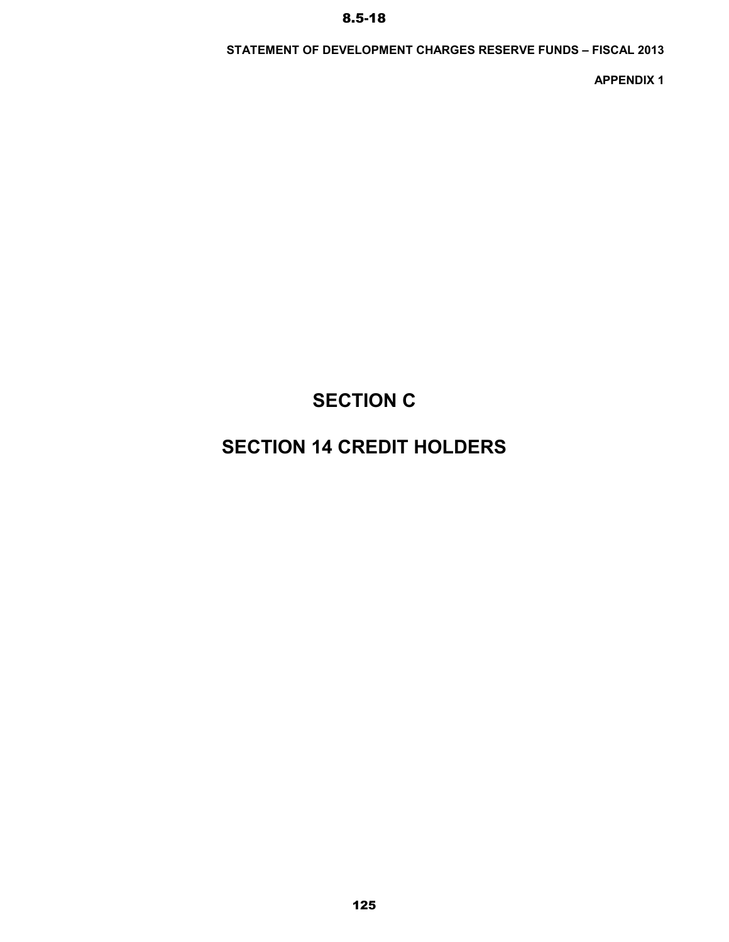### **STATEMENT OF DEVELOPMENT CHARGES RESERVE FUNDS – FISCAL 2013**

**APPENDIX 1**

# **SECTION C**

# **SECTION 14 CREDIT HOLDERS**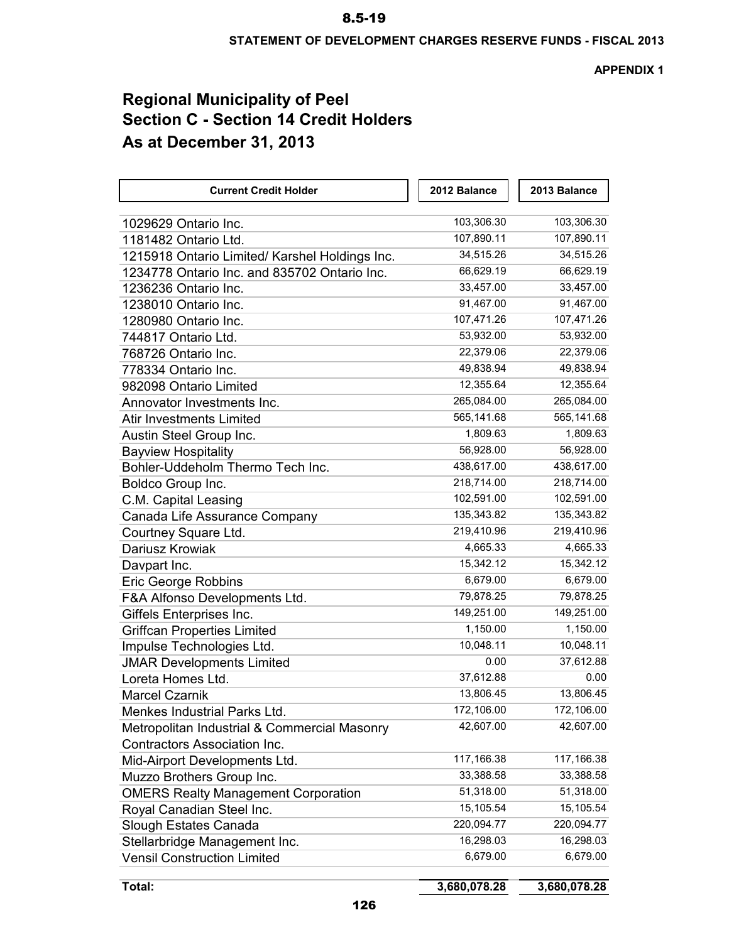**APPENDIX 1**

# **Regional Municipality of Peel Section C - Section 14 Credit Holders As at December 31, 2013**

| <b>Current Credit Holder</b>                   | 2012 Balance | 2013 Balance |
|------------------------------------------------|--------------|--------------|
| 1029629 Ontario Inc.                           | 103,306.30   | 103,306.30   |
| 1181482 Ontario Ltd.                           | 107,890.11   | 107,890.11   |
| 1215918 Ontario Limited/ Karshel Holdings Inc. | 34,515.26    | 34,515.26    |
| 1234778 Ontario Inc. and 835702 Ontario Inc.   | 66,629.19    | 66,629.19    |
| 1236236 Ontario Inc.                           | 33,457.00    | 33,457.00    |
| 1238010 Ontario Inc.                           | 91,467.00    | 91,467.00    |
| 1280980 Ontario Inc.                           | 107,471.26   | 107,471.26   |
| 744817 Ontario Ltd.                            | 53,932.00    | 53,932.00    |
| 768726 Ontario Inc.                            | 22,379.06    | 22,379.06    |
| 778334 Ontario Inc.                            | 49,838.94    | 49,838.94    |
| 982098 Ontario Limited                         | 12,355.64    | 12,355.64    |
| Annovator Investments Inc.                     | 265,084.00   | 265,084.00   |
| <b>Atir Investments Limited</b>                | 565,141.68   | 565,141.68   |
| Austin Steel Group Inc.                        | 1,809.63     | 1,809.63     |
| <b>Bayview Hospitality</b>                     | 56,928.00    | 56,928.00    |
| Bohler-Uddeholm Thermo Tech Inc.               | 438,617.00   | 438,617.00   |
| Boldco Group Inc.                              | 218,714.00   | 218,714.00   |
| C.M. Capital Leasing                           | 102,591.00   | 102,591.00   |
| Canada Life Assurance Company                  | 135,343.82   | 135,343.82   |
| Courtney Square Ltd.                           | 219,410.96   | 219,410.96   |
| Dariusz Krowiak                                | 4,665.33     | 4,665.33     |
| Davpart Inc.                                   | 15,342.12    | 15,342.12    |
| <b>Eric George Robbins</b>                     | 6,679.00     | 6,679.00     |
| F&A Alfonso Developments Ltd.                  | 79,878.25    | 79,878.25    |
| Giffels Enterprises Inc.                       | 149,251.00   | 149,251.00   |
| <b>Griffcan Properties Limited</b>             | 1,150.00     | 1,150.00     |
| Impulse Technologies Ltd.                      | 10,048.11    | 10,048.11    |
| <b>JMAR Developments Limited</b>               | 0.00         | 37,612.88    |
| Loreta Homes Ltd.                              | 37,612.88    | 0.00         |
| <b>Marcel Czarnik</b>                          | 13,806.45    | 13,806.45    |
| <b>Menkes Industrial Parks Ltd</b>             | 172,106.00   | 172,106.00   |
| Metropolitan Industrial & Commercial Masonry   | 42,607.00    | 42,607.00    |
| <b>Contractors Association Inc.</b>            |              |              |
| Mid-Airport Developments Ltd.                  | 117,166.38   | 117,166.38   |
| Muzzo Brothers Group Inc.                      | 33,388.58    | 33,388.58    |
| <b>OMERS Realty Management Corporation</b>     | 51,318.00    | 51,318.00    |
| Royal Canadian Steel Inc.                      | 15,105.54    | 15,105.54    |
| Slough Estates Canada                          | 220,094.77   | 220,094.77   |
| Stellarbridge Management Inc.                  | 16,298.03    | 16,298.03    |
| <b>Vensil Construction Limited</b>             | 6,679.00     | 6,679.00     |

**Total: 3,680,078.28 3,680,078.28**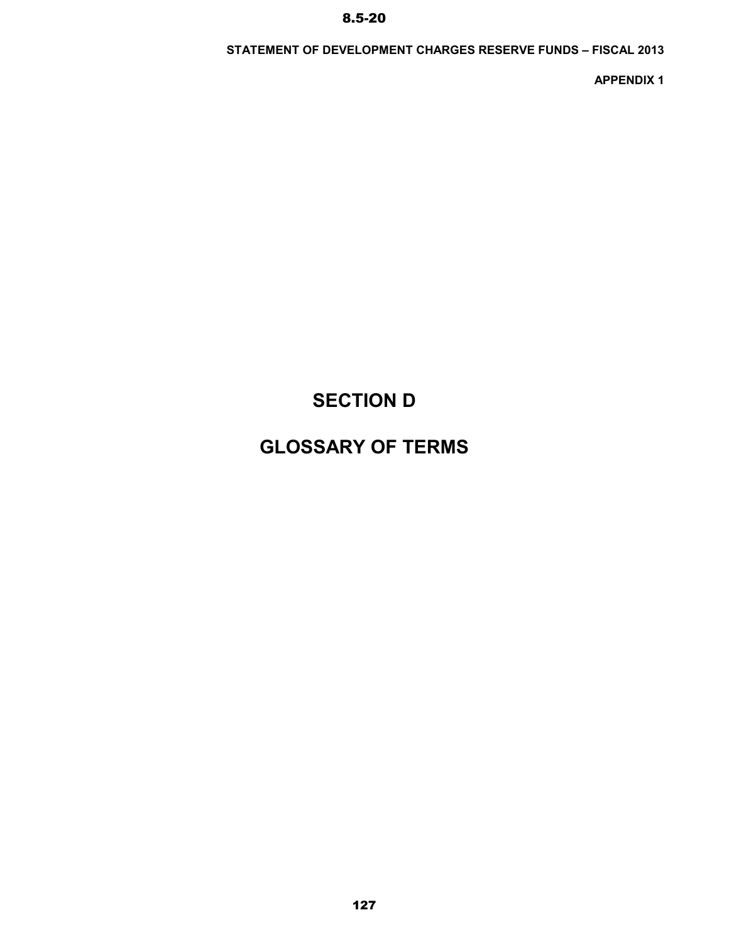## **STATEMENT OF DEVELOPMENT CHARGES RESERVE FUNDS – FISCAL 2013**

**APPENDIX 1**

# **SECTION D**

# **GLOSSARY OF TERMS**